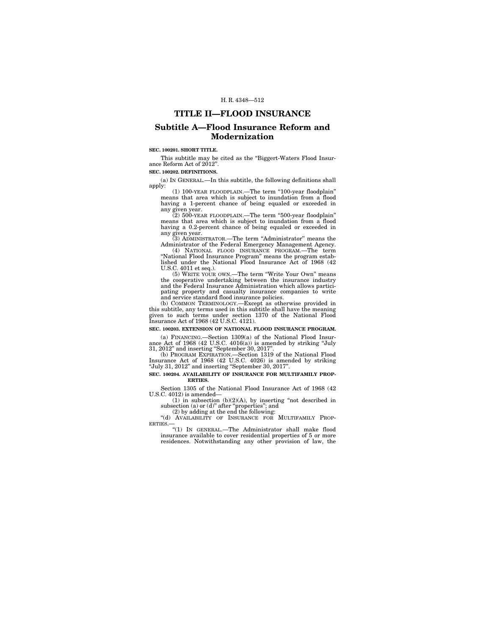## **TITLE II—FLOOD INSURANCE**

# **Subtitle A—Flood Insurance Reform and Modernization**

## **SEC. 100201. SHORT TITLE.**

This subtitle may be cited as the ''Biggert-Waters Flood Insurance Reform Act of 2012''.

## **SEC. 100202. DEFINITIONS.**

(a) IN GENERAL.—In this subtitle, the following definitions shall apply:

(1) 100-YEAR FLOODPLAIN.—The term ''100-year floodplain'' means that area which is subject to inundation from a flood having a 1-percent chance of being equaled or exceeded in any given year. (2) 500-YEAR FLOODPLAIN.—The term ''500-year floodplain''

means that area which is subject to inundation from a flood having a 0.2-percent chance of being equaled or exceeded in

any given year. (3) ADMINISTRATOR.—The term ''Administrator'' means the Administrator of the Federal Emergency Management Agency.

(4) NATIONAL FLOOD INSURANCE PROGRAM.—The term ''National Flood Insurance Program'' means the program established under the National Flood Insurance Act of 1968 (42 U.S.C. 4011 et seq.).

(5) WRITE YOUR OWN.—The term ''Write Your Own'' means the cooperative undertaking between the insurance industry and the Federal Insurance Administration which allows participating property and casualty insurance companies to write and service standard flood insurance policies. (b) COMMON TERMINOLOGY.—Except as otherwise provided in

this subtitle, any terms used in this subtitle shall have the meaning given to such terms under section 1370 of the National Flood Insurance Act of 1968 (42 U.S.C. 4121).

## **SEC. 100203. EXTENSION OF NATIONAL FLOOD INSURANCE PROGRAM.**

(a) FINANCING.—Section 1309(a) of the National Flood Insur-ance Act of 1968 (42 U.S.C. 4016(a)) is amended by striking ''July 31, 2012'' and inserting ''September 30, 2017''.

(b) PROGRAM EXPIRATION.—Section 1319 of the National Flood Insurance Act of 1968 (42 U.S.C. 4026) is amended by striking ''July 31, 2012'' and inserting ''September 30, 2017''.

#### **SEC. 100204. AVAILABILITY OF INSURANCE FOR MULTIFAMILY PROP-ERTIES.**

Section 1305 of the National Flood Insurance Act of 1968 (42 U.S.C. 4012) is amended—

 $(1)$  in subsection  $(b)(2)(A)$ , by inserting "not described in subsection (a) or (d)" after "properties"; and (2) by adding at the end the following:

"(d) AVAILABILITY OF INSURANCE FOR MULTIFAMILY PROP-<br>ERTIES.—

''(1) IN GENERAL.—The Administrator shall make flood insurance available to cover residential properties of 5 or more residences. Notwithstanding any other provision of law, the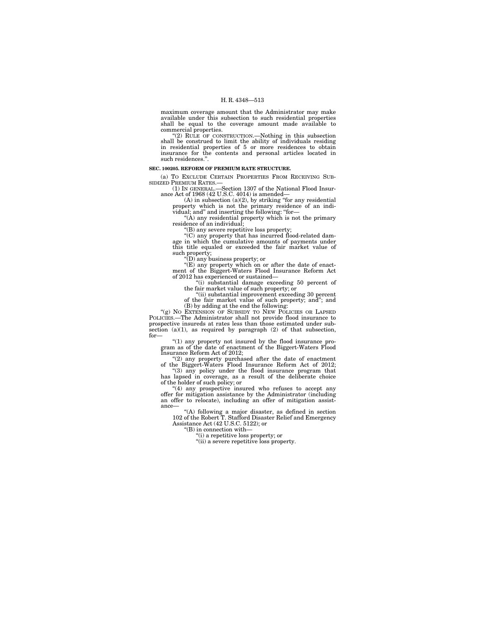maximum coverage amount that the Administrator may make available under this subsection to such residential properties shall be equal to the coverage amount made available to commercial properties.

''(2) RULE OF CONSTRUCTION.—Nothing in this subsection shall be construed to limit the ability of individuals residing in residential properties of 5 or more residences to obtain insurance for the contents and personal articles located in such residences.''.

#### **SEC. 100205. REFORM OF PREMIUM RATE STRUCTURE.**

(a) TO EXCLUDE CERTAIN PROPERTIES FROM RECEIVING SUB-SIDIZED PREMIUM RATES.—

(1) IN GENERAL.—Section 1307 of the National Flood Insurance Act of 1968 (42 U.S.C. 4014) is amended—<br>(A) in subsection (a)(2), by striking "for any residential

property which is not the primary residence of an individual; and'' and inserting the following: ''for—

"(A) any residential property which is not the primary residence of an individual;

''(B) any severe repetitive loss property;

"(C) any property that has incurred flood-related damage in which the cumulative amounts of payments under this title equaled or exceeded the fair market value of such property;

''(D) any business property; or

''(E) any property which on or after the date of enact-ment of the Biggert-Waters Flood Insurance Reform Act of 2012 has experienced or sustained—

''(i) substantial damage exceeding 50 percent of the fair market value of such property; or ''(ii) substantial improvement exceeding 30 percent

of the fair market value of such property; and''; and (B) by adding at the end the following: ''(g) NO EXTENSION OF SUBSIDY TO NEW POLICIES OR LAPSED POLICIES.—The Administrator shall not provide flood insurance to prospective insureds at rates less than those estimated under subsection  $(a)(1)$ , as required by paragraph  $(2)$  of that subsection, for—

''(1) any property not insured by the flood insurance pro-gram as of the date of enactment of the Biggert-Waters Flood Insurance Reform Act of 2012;

''(2) any property purchased after the date of enactment of the Biggert-Waters Flood Insurance Reform Act of 2012;

''(3) any policy under the flood insurance program that has lapsed in coverage, as a result of the deliberate choice of the holder of such policy; or

"(4) any prospective insured who refuses to accept any offer for mitigation assistance by the Administrator (including an offer to relocate), including an offer of mitigation assistance—

''(A) following a major disaster, as defined in section 102 of the Robert T. Stafford Disaster Relief and Emergency Assistance Act (42 U.S.C. 5122); or

''(B) in connection with—

''(i) a repetitive loss property; or

''(ii) a severe repetitive loss property.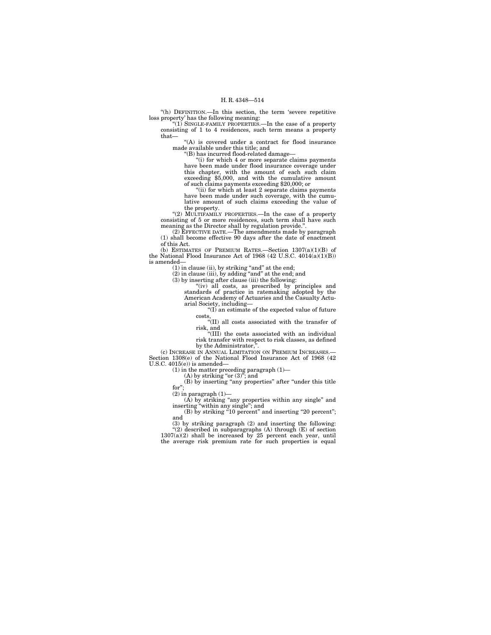"(h) DEFINITION.—In this section, the term 'severe repetitive loss property' has the following meaning:

"(1) SINGLE-FAMILY PROPERTIES.—In the case of a property consisting of 1 to 4 residences, such term means a property that—

''(A) is covered under a contract for flood insurance made available under this title; and

''(B) has incurred flood-related damage—

''(i) for which 4 or more separate claims payments have been made under flood insurance coverage under this chapter, with the amount of each such claim exceeding \$5,000, and with the cumulative amount of such claims payments exceeding \$20,000; or

"(ii) for which at least 2 separate claims payments have been made under such coverage, with the cumulative amount of such claims exceeding the value of the property.

"(2) MULTIFAMILY PROPERTIES.—In the case of a property consisting of 5 or more residences, such term shall have such meaning as the Director shall by regulation provide.''.

(2) EFFECTIVE DATE.—The amendments made by paragraph (1) shall become effective 90 days after the date of enactment of this Act.

(b) ESTIMATES OF PREMIUM RATES.—Section  $1307(a)(1)(B)$  of the National Flood Insurance Act of 1968  $(42 \text{ U.S.C. } 4014(a)(1)(B))$ is amended—

(1) in clause (ii), by striking ''and'' at the end; (2) in clause (iii), by adding ''and'' at the end; and (3) by inserting after clause (iii) the following:

''(iv) all costs, as prescribed by principles and standards of practice in ratemaking adopted by the American Academy of Actuaries and the Casualty Actuarial Society, including—

''(I) an estimate of the expected value of future

costs, ''(II) all costs associated with the transfer of risk, and

''(III) the costs associated with an individual risk transfer with respect to risk classes, as defined by the Administrator,

(c) INCREASE IN ANNUAL LIMITATION ON PREMIUM INCREASES.— Section 1308(e) of the National Flood Insurance Act of 1968 (42 U.S.C. 4015(e)) is amended—

(1) in the matter preceding paragraph (1)—<br>
(A) by striking "or (3)"; and<br>
(B) by inserting "any properties" after "under this title

for";<br>
(2) in paragraph (1)—<br>
(A) by striking "any properties within any single" and<br>
inserting "within any single"; and<br>
(B) by striking "10 percent" and inserting "20 percent";

and

(3) by striking paragraph (2) and inserting the following: ''(2) described in subparagraphs (A) through (E) of section 1307(a)(2) shall be increased by 25 percent each year, until the average risk premium rate for such properties is equal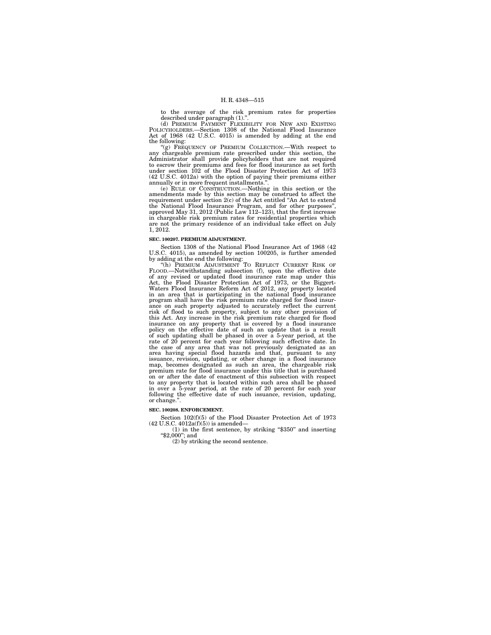to the average of the risk premium rates for properties described under paragraph (1).''.

(d) PREMIUM PAYMENT FLEXIBILITY FOR NEW AND EXISTING POLICYHOLDERS.—Section 1308 of the National Flood Insurance Act of 1968 (42 U.S.C. 4015) is amended by adding at the end the following:

'(g) FREQUENCY OF PREMIUM COLLECTION.—With respect to any chargeable premium rate prescribed under this section, the Administrator shall provide policyholders that are not required to escrow their premiums and fees for flood insurance as set forth under section 102 of the Flo annually or in more frequent installments.''.

(e) RULE OF CONSTRUCTION.—Nothing in this section or the amendments made by this section may be construed to affect the requirement under section 2(c) of the Act entitled ''An Act to extend the National Flood Insurance Program, and for other purposes'', approved May 31, 2012 (Public Law 112–123), that the first increase in chargeable risk premium rates for residential properties which are not the primary residence of an individual take effect on July 1, 2012.

#### **SEC. 100207. PREMIUM ADJUSTMENT.**

Section 1308 of the National Flood Insurance Act of 1968 (42 U.S.C. 4015), as amended by section 100205, is further amended by adding at the end the following:<br>"(h) PREMIUM ADJUSTMENT TO REFLECT CURRENT RISK OF

FLOOD.—Notwithstanding subsection (f), upon the effective date<br>of any revised or updated flood insurance rate map under this<br>Act, the Flood Disaster Protection Act of 1973, or the Biggert-<br>Waters Flood Insurance Reform Act program shall have the risk premium rate charged for flood insurance on such property adjusted to accurately reflect the current<br>risk of flood to such property, subject to any other provision of<br>this Act. Any increase in the risk premium rate charged for flood<br>insurance on any property of such updating shall be phased in over a 5-year period, at the rate of 20 percent for each year following such effective date. In the case of any area that was not previously designated as an area having special flood ha issuance, revision, updating, or other change in a flood insurance map, becomes designated as such an area, the chargeable risk premium rate for flood insurance under this title that is purchased on or after the date of enactment of this subsection with respect to any property that is located within such area shall be phased in over a 5-year period, at the rate of 20 percent for each year following the effective date of such issuance, revision, updating, or change.''.

## **SEC. 100208. ENFORCEMENT.**

Section 102(f)(5) of the Flood Disaster Protection Act of 1973  $(42 \text{ U.S.C. } 4012a(f)(5))$  is amended—

(1) in the first sentence, by striking ''\$350'' and inserting " $$2,000$ "; and

(2) by striking the second sentence.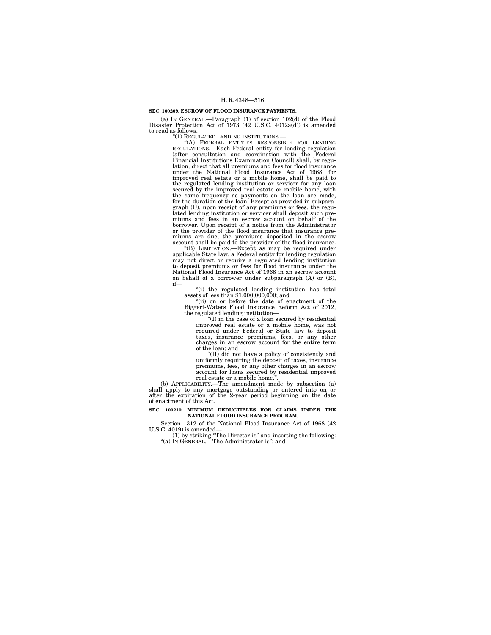#### **SEC. 100209. ESCROW OF FLOOD INSURANCE PAYMENTS.**

(a) IN GENERAL.—Paragraph (1) of section 102(d) of the Flood Disaster Protection Act of 1973 (42 U.S.C. 4012a(d)) is amended to read as follows:

''(1) REGULATED LENDING INSTITUTIONS.—

''(A) FEDERAL ENTITIES RESPONSIBLE FOR LENDING REGULATIONS.—Each Federal entity for lending regulation (after consultation and coordination with the Federal Financial Institutions Examination Council) shall, by regulation, direct that all premiums and fees for flood insurance under the National Flood Insurance Act of 1968, for improved real estate or a mobile home, shall be paid to the regulated lending institution or servicer for any loan secured by the improved real estate or mobile home, with the same frequency as payments on the loan are made, for the duration of the loan. Except as provided in subparagraph (C), upon receipt of any premiums or fees, the regu-lated lending institution or servicer shall deposit such premiums and fees in an escrow account on behalf of the borrower. Upon receipt of a notice from the Administrator or the provider of the flood insurance that insurance premiums are due, the premiums deposited in the escrow account shall be paid to the provider of the flood insurance.

''(B) LIMITATION.—Except as may be required under applicable State law, a Federal entity for lending regulation may not direct or require a regulated lending institution to deposit premiums or fees for flood insurance under the National Flood Insurance Act of 1968 in an escrow account on behalf of a borrower under subparagraph (A) or (B), if—

''(i) the regulated lending institution has total assets of less than \$1,000,000,000; and

''(ii) on or before the date of enactment of the Biggert-Waters Flood Insurance Reform Act of 2012, the regulated lending institution—

''(I) in the case of a loan secured by residential improved real estate or a mobile home, was not required under Federal or State law to deposit taxes, insurance premiums, fees, or any other charges in an escrow account for the entire term of the loan; and

''(II) did not have a policy of consistently and uniformly requiring the deposit of taxes, insurance premiums, fees, or any other charges in an escrow account for loans secured by residential improved

real estate or a mobile home.''. (b) APPLICABILITY.—The amendment made by subsection (a) shall apply to any mortgage outstanding or entered into on or after the expiration of the 2-year period beginning on the date of enactment of this Act.

#### **SEC. 100210. MINIMUM DEDUCTIBLES FOR CLAIMS UNDER THE NATIONAL FLOOD INSURANCE PROGRAM.**

Section 1312 of the National Flood Insurance Act of 1968 (42

U.S.C. 4019) is amended—<br>
(1) by striking "The Director is" and inserting the following:<br>
"(a) In GENERAL.—The Administrator is"; and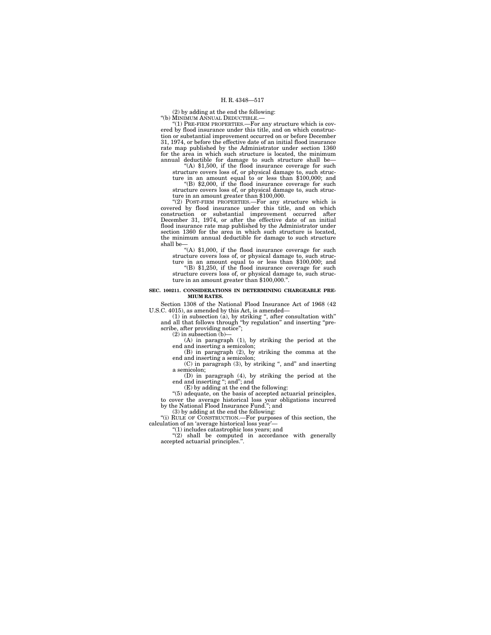(2) by adding at the end the following:

''(b) MINIMUM ANNUAL DEDUCTIBLE.—

''(1) PRE-FIRM PROPERTIES.—For any structure which is covered by flood insurance under this title, and on which construction or substantial improvement occurred on or before December 31, 1974, or before the effective date of an initial flood insurance rate map published by the Administrator under section 1360 for the area in which such structure is located, the minimum annual deductible for damage to such structure shall be—

''(A) \$1,500, if the flood insurance coverage for such structure covers loss of, or physical damage to, such struc-ture in an amount equal to or less than \$100,000; and

''(B) \$2,000, if the flood insurance coverage for such structure covers loss of, or physical damage to, such structure in an amount greater than \$100,000.

''(2) POST-FIRM PROPERTIES.—For any structure which is covered by flood insurance under this title, and on which construction or substantial improvement occurred after December 31, 1974, or after the effective date of an initial flood insurance rate map published by the Administrator under section 1360 for the area in which such structure is located, the minimum annual deductible for damage to such structure shall be—

"(A) \$1,000, if the flood insurance coverage for such structure covers loss of, or physical damage to, such structure in an amount equal to or less than \$100,000; and

''(B) \$1,250, if the flood insurance coverage for such structure covers loss of, or physical damage to, such structure in an amount greater than \$100,000.''.

#### **SEC. 100211. CONSIDERATIONS IN DETERMINING CHARGEABLE PRE-MIUM RATES.**

Section 1308 of the National Flood Insurance Act of 1968 (42

U.S.C. 4015), as amended by this Act, is amended—<br>
(1) in subsection (a), by striking ", after consultation with"<br>
and all that follows through "by regulation" and inserting "pre-<br>
scribe, after providing notice";<br>
(2) in

 $(A)$  in paragraph  $(1)$ , by striking the period at the

end and inserting a semicolon; (B) in paragraph (2), by striking the comma at the end and inserting a semicolon;

 $(C)$  in paragraph  $(3)$ , by striking ", and" and inserting a semicolon;

(D) in paragraph (4), by striking the period at the end and inserting ''; and''; and (E) by adding at the end the following:

''(5) adequate, on the basis of accepted actuarial principles, to cover the average historical loss year obligations incurred by the National Flood Insurance Fund.''; and

(3) by adding at the end the following:<br>"(i) RULE OF CONSTRUCTION.—For purposes of this section, the calculation of an 'average historical loss year'—

''(1) includes catastrophic loss years; and "(2) shall be computed in accordance with generally accepted actuarial principles.''.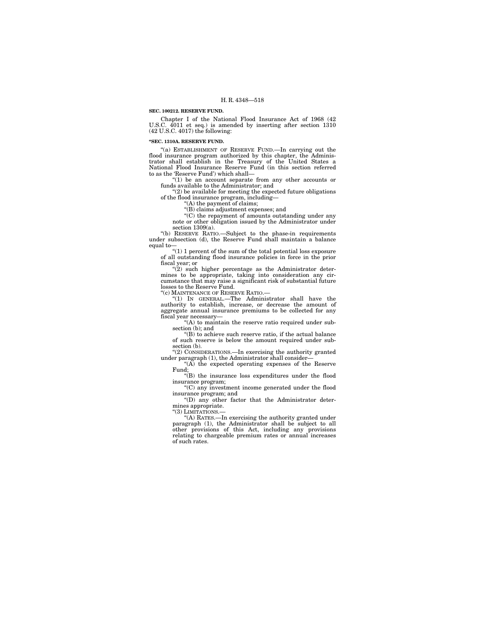#### **SEC. 100212. RESERVE FUND.**

Chapter I of the National Flood Insurance Act of 1968 (42 U.S.C. 4011 et seq.) is amended by inserting after section 1310 (42 U.S.C. 4017) the following:

#### **''SEC. 1310A. RESERVE FUND.**

''(a) ESTABLISHMENT OF RESERVE FUND.—In carrying out the flood insurance program authorized by this chapter, the Administrator shall establish in the Treasury of the United States a National Flood Insurance Reserve Fund (in this section referred to as the 'Reserve Fund') which shall—

''(1) be an account separate from any other accounts or funds available to the Administrator; and

''(2) be available for meeting the expected future obligations of the flood insurance program, including—

''(A) the payment of claims;

''(B) claims adjustment expenses; and

''(C) the repayment of amounts outstanding under any note or other obligation issued by the Administrator under section 1309(a).

''(b) RESERVE RATIO.—Subject to the phase-in requirements under subsection (d), the Reserve Fund shall maintain a balance

equal to— ''(1) 1 percent of the sum of the total potential loss exposure of all outstanding flood insurance policies in force in the prior of all outstanding flood insurance policies in force in the prior fiscal year; or

 $(2)$  such higher percentage as the Administrator determines to be appropriate, taking into consideration any circumstance that may raise a significant risk of substantial future losses to the Reserve Fund.

''(c) MAINTENANCE OF RESERVE RATIO.—

''(1) IN GENERAL.—The Administrator shall have the authority to establish, increase, or decrease the amount of aggregate annual insurance premiums to be collected for any fiscal year necessary—

"(A) to maintain the reserve ratio required under subsection (b); and

 $(4)$  to achieve such reserve ratio, if the actual balance of such reserve is below the amount required under subsection (b).

''(2) CONSIDERATIONS.—In exercising the authority granted under paragraph (1), the Administrator shall consider

"(A) the expected operating expenses of the Reserve Fund;

''(B) the insurance loss expenditures under the flood insurance program;<br>"(C) any investment income generated under the flood

insurance program; and

''(D) any other factor that the Administrator determines appropriate.

"(3) LIMITATIONS.-

''(A) RATES.—In exercising the authority granted under paragraph (1), the Administrator shall be subject to all other provisions of this Act, including any provisions relating to chargeable premium rates or annual increases of such rates.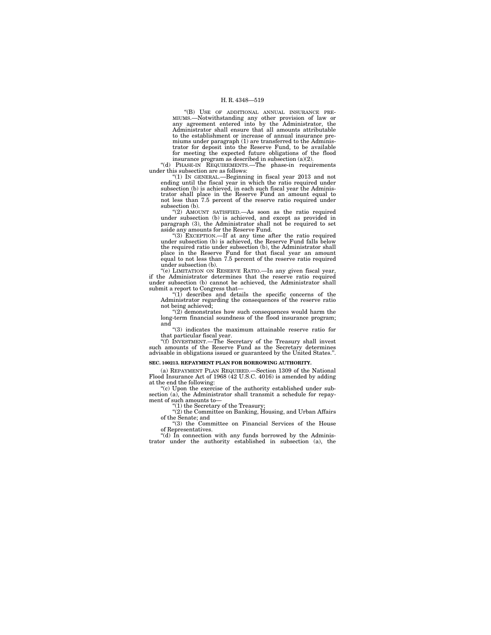''(B) USE OF ADDITIONAL ANNUAL INSURANCE PRE- MIUMS.—Notwithstanding any other provision of law or any agreement entered into by the Administrator, the Administrator shall ensure that all amounts attributable to the establishment or increase of annual insurance premiums under paragraph (1) are transferred to the Administrator for deposit into the Reserve Fund, to be available for meeting the expected future obligations of the flood

insurance program as described in subsection  $(a)(2)$ .<br>
"(d) PHASE-IN REQUIREMENTS.—The phase-in requirements under this subsection are as follows:

''(1) IN GENERAL.—Beginning in fiscal year 2013 and not ending until the fiscal year in which the ratio required under subsection (b) is achieved, in each such fiscal year the Administrator shall place in the Reserve Fund an amount equal to not less than 7.5 percent of the reserve ratio required under subsection (b).

''(2) AMOUNT SATISFIED.—As soon as the ratio required under subsection (b) is achieved, and except as provided in paragraph (3), the Administrator shall not be required to set

aside any amounts for the Reserve Fund.<br>"(3) EXCEPTION.—If at any time after the ratio required under subsection (b) is achieved, the Reserve Fund falls below the required ratio under subsection (b), the Administrator shall place in the Reserve Fund for that fiscal year an amount equal to not less than 7.5 percent of the reserve ratio required under subsection (b).

''(e) LIMITATION ON RESERVE RATIO.—In any given fiscal year, if the Administrator determines that the reserve ratio required under subsection (b) cannot be achieved, the Administrator shall submit a report to Congress that—

 $''(1)$  describes and details the specific concerns of the Administrator regarding the consequences of the reserve ratio not being achieved;

''(2) demonstrates how such consequences would harm the long-term financial soundness of the flood insurance program; and

''(3) indicates the maximum attainable reserve ratio for

that particular fiscal year. ''(f) INVESTMENT.—The Secretary of the Treasury shall invest such amounts of the Reserve Fund as the Secretary determines advisable in obligations issued or guaranteed by the United States.''.

## **SEC. 100213. REPAYMENT PLAN FOR BORROWING AUTHORITY.**

(a) REPAYMENT PLAN REQUIRED.—Section 1309 of the National Flood Insurance Act of 1968 (42 U.S.C. 4016) is amended by adding at the end the following:

"(c) Upon the exercise of the authority established under subsection (a), the Administrator shall transmit a schedule for repayment of such amounts to—

''(1) the Secretary of the Treasury; ''(2) the Committee on Banking, Housing, and Urban Affairs of the Senate; and

''(3) the Committee on Financial Services of the House of Representatives.

''(d) In connection with any funds borrowed by the Administrator under the authority established in subsection (a), the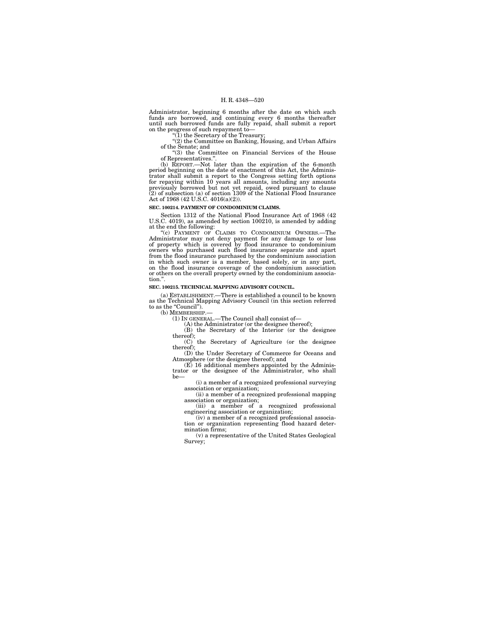Administrator, beginning 6 months after the date on which such funds are borrowed, and continuing every 6 months thereafter until such borrowed funds are fully repaid, shall submit a report on the progress of such repayment to— ''(1) the Secretary of the Treasury;

''(2) the Committee on Banking, Housing, and Urban Affairs of the Senate; and ''(3) the Committee on Financial Services of the House

of Representatives."

(b) REPORT.—Not later than the expiration of the 6-month period beginning on the date of enactment of this Act, the Adminis-trator shall submit a report to the Congress setting forth options for repaying within 10 years all amounts, including any amounts previously borrowed but not yet repaid, owed pursuant to clause (2) of subsection (a) of section 1309 of the National Flood Insurance Act of 1968 (42 U.S.C. 4016(a)(2)).

#### **SEC. 100214. PAYMENT OF CONDOMINIUM CLAIMS.**

Section 1312 of the National Flood Insurance Act of 1968 (42 U.S.C. 4019), as amended by section 100210, is amended by adding at the end the following:<br>"(c) PAYMENT OF CLAIMS TO CONDOMINIUM OWNERS.—The

Administrator may not deny payment for any damage to or loss<br>of property which is covered by flood insurance to condominium<br>owners who purchased such flood insurance separate and apart<br>from the flood insurance purchased by in which such owner is a member, based solely, or in any part, on the flood insurance coverage of the condominium association or others on the overall property owned by the condominium association.''.

#### **SEC. 100215. TECHNICAL MAPPING ADVISORY COUNCIL.**

(a) ESTABLISHMENT.—There is established a council to be known as the Technical Mapping Advisory Council (in this section referred to as the "Council").<br>(b) MEMBERSHIP.

(1) IN GENERAL.—The Council shall consist of—

(A) the Administrator (or the designee thereof);

(B) the Secretary of the Interior (or the designee

thereof); (C) the Secretary of Agriculture (or the designee thereof); (D) the Under Secretary of Commerce for Oceans and

Atmosphere (or the designee thereof); and

(E) 16 additional members appointed by the Adminis-trator or the designee of the Administrator, who shall be—

(i) a member of a recognized professional surveying association or organization;

(ii) a member of a recognized professional mapping association or organization; (iii) a member of a recognized professional

engineering association or organization;

(iv) a member of a recognized professional association or organization representing flood hazard determination firms;

(v) a representative of the United States Geological Survey;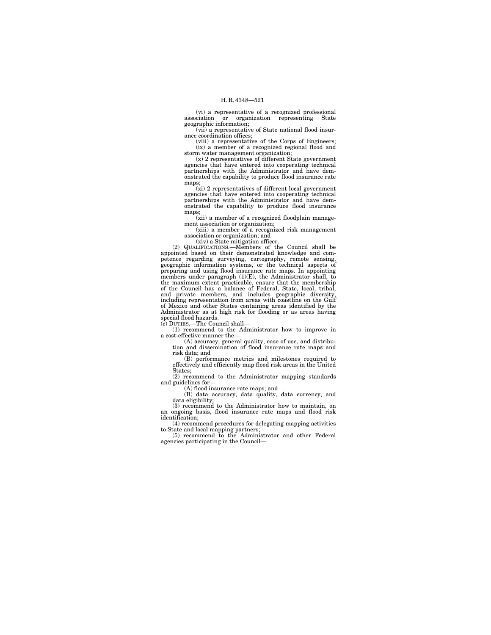(vi) a representative of a recognized professional association or organization representing State geographic information;

(vii) a representative of State national flood insurance coordination offices;

(viii) a representative of the Corps of Engineers; (ix) a member of a recognized regional flood and

storm water management organization; (x) 2 representatives of different State government agencies that have entered into cooperating technical partnerships with the Administrator and have demonstrated the capability to produce flood insurance rate maps;

(xi) 2 representatives of different local government agencies that have entered into cooperating technical partnerships with the Administrator and have demonstrated the capability to produce flood insurance maps;

(xii) a member of a recognized floodplain management association or organization;

(xiii) a member of a recognized risk management association or organization; and

(xiv) a State mitigation officer.

(2) QUALIFICATIONS.—Members of the Council shall be appointed based on their demonstrated knowledge and competence regarding surveying, cartography, remote sensing, geographic information systems, or the technical aspects of preparing and using flood insurance rate maps. In appointing members under paragraph (1)(E), the Administrator shall, to the maximum extent practicable, ensure that the membership<br>of the Council has a balance of Federal, State, local, tribal,<br>and private members, and includies geographic diversity,<br>including representation from areas with co of Mexico and other States containing areas identified by the Administrator as at high risk for flooding or as areas having special flood hazards.

(c) DUTIES.—The Council shall—

(1) recommend to the Administrator how to improve in a cost-effective manner the—

(A) accuracy, general quality, ease of use, and distribu-tion and dissemination of flood insurance rate maps and risk data; and

(B) performance metrics and milestones required to effectively and efficiently map flood risk areas in the United States;

(2) recommend to the Administrator mapping standards and guidelines for—

(A) flood insurance rate maps; and

(B) data accuracy, data quality, data currency, and data eligibility;

(3) recommend to the Administrator how to maintain, on an ongoing basis, flood insurance rate maps and flood risk identification;

(4) recommend procedures for delegating mapping activities to State and local mapping partners; (5) recommend to the Administrator and other Federal

agencies participating in the Council—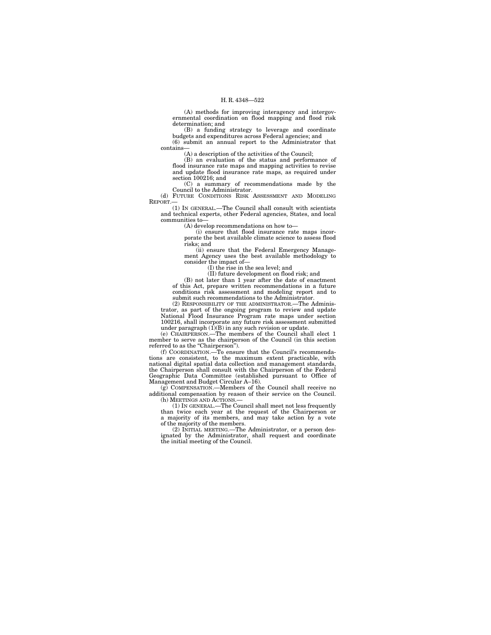(A) methods for improving interagency and intergovernmental coordination on flood mapping and flood risk determination; and

(B) a funding strategy to leverage and coordinate budgets and expenditures across Federal agencies; and (6) submit an annual report to the Administrator that contains—

(A) a description of the activities of the Council; (B) an evaluation of the status and performance of flood insurance rate maps and mapping activities to revise and update flood insurance rate maps, as required under section 100216; and

(C) a summary of recommendations made by the Council to the Administrator.

(d) FUTURE CONDITIONS RISK ASSESSMENT AND MODELING REPORT.—

(1) IN GENERAL.—The Council shall consult with scientists and technical experts, other Federal agencies, States, and local communities to—

(A) develop recommendations on how to—

(i) ensure that flood insurance rate maps incorporate the best available climate science to assess flood risks; and

(ii) ensure that the Federal Emergency Management Agency uses the best available methodology to consider the impact of—

(I) the rise in the sea level; and

(II) future development on flood risk; and

(B) not later than 1 year after the date of enactment of this Act, prepare written recommendations in a future conditions risk assessment and modeling report and to submit such recommendations to the Administrator.

(2) RESPONSIBILITY OF THE ADMINISTRATOR.—The Administrator, as part of the ongoing program to review and update National Flood Insurance Program rate maps under section 100216, shall incorporate any future risk assessment submitted under paragraph  $(1)(B)$  in any such revision or update.

(e) CHAIRPERSON.—The members of the Council shall elect 1 member to serve as the chairperson of the Council (in this section referred to as the "Chairperson").

(f) COORDINATION.—To ensure that the Council's recommenda-tions are consistent, to the maximum extent practicable, with national digital spatial data collection and management standards, the Chairperson shall consult with the Chairperson of the Federal Geographic Data Committee (established pursuant to Office of Management and Budget Circular A–16). (g) COMPENSATION.—Members of the Council shall receive no

additional compensation by reason of their service on the Council. (h) MEETINGS AND ACTIONS.—

(1) IN GENERAL.—The Council shall meet not less frequently than twice each year at the request of the Chairperson or a majority of its members, and may take action by a vote of the majority of the members.

(2) INITIAL MEETING.—The Administrator, or a person designated by the Administrator, shall request and coordinate the initial meeting of the Council.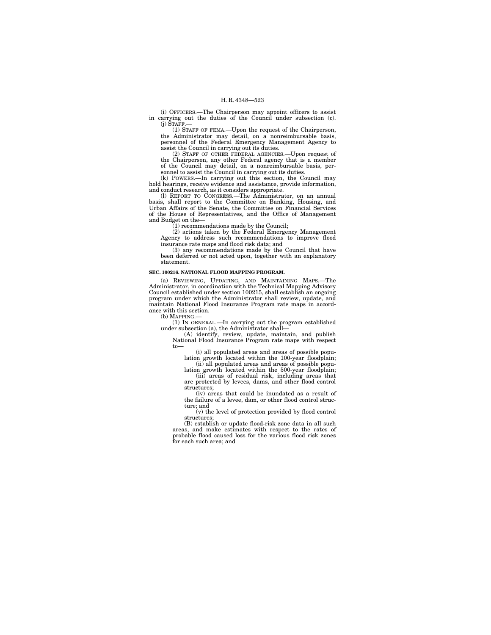(i) OFFICERS.—The Chairperson may appoint officers to assist in carrying out the duties of the Council under subsection (c).  $(j)$   $\text{STAFF}$ .

(1) STAFF OF FEMA.—Upon the request of the Chairperson, the Administrator may detail, on a nonreimbursable basis, personnel of the Federal Emergency Management Agency to assist the Council in carrying out its duties.

(2) STAFF OF OTHER FEDERAL AGENCIES.—Upon request of the Chairperson, any other Federal agency that is a member of the Council may detail, on a nonreimbursable basis, per-sonnel to assist the Council in carrying out its duties.

(k) POWERS.—In carrying out this section, the Council may hold hearings, receive evidence and assistance, provide information, and conduct research, as it considers appropriate.

(l) REPORT TO CONGRESS.—The Administrator, on an annual basis, shall report to the Committee on Banking, Housing, and Urban Affairs of the Senate, the Committee on Financial Services of the House of Representatives, and the Office of Management and Budget on the—

(1) recommendations made by the Council;

(2) actions taken by the Federal Emergency Management Agency to address such recommendations to improve flood insurance rate maps and flood risk data; and

(3) any recommendations made by the Council that have been deferred or not acted upon, together with an explanatory statement.

#### **SEC. 100216. NATIONAL FLOOD MAPPING PROGRAM.**

(a) REVIEWING, UPDATING, AND MAINTAINING MAPS.—The Administrator, in coordination with the Technical Mapping Advisory Council established under section 100215, shall establish an ongoing program under which the Administrator shall review, update, and maintain National Flood Insurance Program rate maps in accordance with this section.

(b) MAPPING.—

(1) IN GENERAL.—In carrying out the program established under subsection (a), the Administrator shall— (A) identify, review, update, maintain, and publish National Flood Insurance Program rate maps with respect

to—

(i) all populated areas and areas of possible population growth located within the 100-year floodplain; (ii) all populated areas and areas of possible popu-

lation growth located within the 500-year floodplain; (iii) areas of residual risk, including areas that are protected by levees, dams, and other flood control structures;

(iv) areas that could be inundated as a result of the failure of a levee, dam, or other flood control struc-

ture; and (v) the level of protection provided by flood control structures;

(B) establish or update flood-risk zone data in all such areas, and make estimates with respect to the rates of probable flood caused loss for the various flood risk zones for each such area; and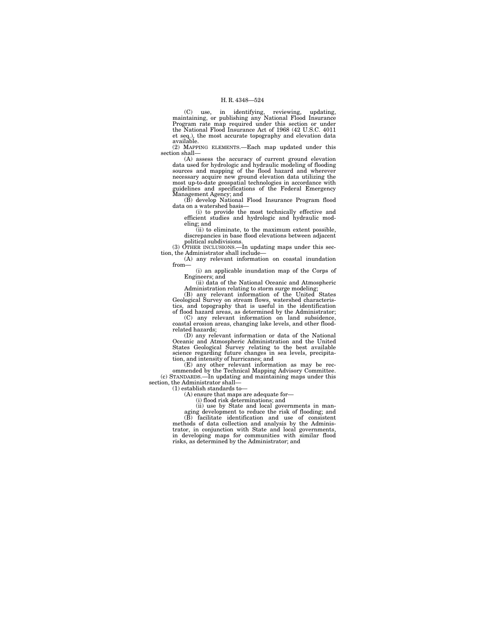(C) use, in identifying, reviewing, updating, maintaining, or publishing any National Flood Insurance Program rate map required under this section or under the National Flood Insurance Act of 1968 (42 U.S.C. 4011 et seq.), the most accurate topography and elevation data available.

(2) MAPPING ELEMENTS.—Each map updated under this section shall—

(A) assess the accuracy of current ground elevation data used for hydrologic and hydraulic modeling of flooding sources and mapping of the flood hazard and wherever necessary acquire new ground elevation data utilizing the most up-to-date geospatial technologies in accordance with guidelines and specifications of the Federal Emergency Management Agency; and

(B) develop National Flood Insurance Program flood data on a watershed basis—

(i) to provide the most technically effective and efficient studies and hydrologic and hydraulic modeling; and

(ii) to eliminate, to the maximum extent possible, discrepancies in base flood elevations between adjacent political subdivisions.

(3) OTHER INCLUSIONS.—In updating maps under this sec-tion, the Administrator shall include—

(A) any relevant information on coastal inundation from—

(i) an applicable inundation map of the Corps of Engineers; and

(ii) data of the National Oceanic and Atmospheric Administration relating to storm surge modeling; (B) any relevant information of the United States

Geological Survey on stream flows, watershed characteris-tics, and topography that is useful in the identification of flood hazard areas, as determined by the Administrator;

(C) any relevant information on land subsidence, coastal erosion areas, changing lake levels, and other floodrelated hazards;

(D) any relevant information or data of the National Oceanic and Atmospheric Administration and the United States Geological Survey relating to the best available science regarding future changes in sea levels, precipitation, and intensity of hurricanes; and

(E) any other relevant information as may be rec-ommended by the Technical Mapping Advisory Committee. (c) STANDARDS.—In updating and maintaining maps under this section, the Administrator shall—

(1) establish standards to—

(A) ensure that maps are adequate for—

(i) flood risk determinations; and

(ii) use by State and local governments in man-

aging development to reduce the risk of flooding; and (B) facilitate identification and use of consistent methods of data collection and analysis by the Administrator, in conjunction with State and local governments, in developing maps for communities with similar flood risks, as determined by the Administrator; and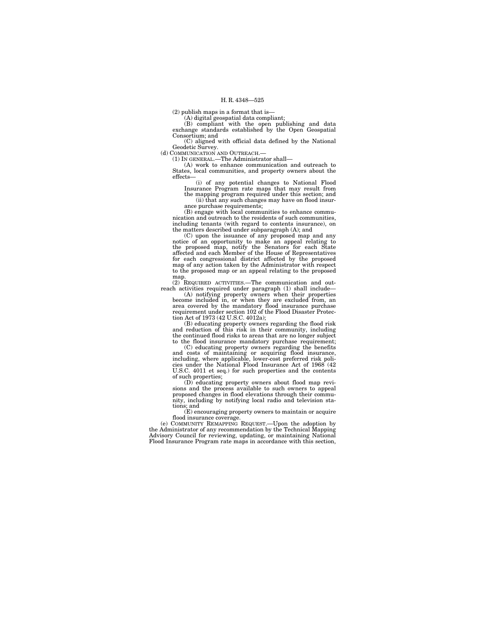(2) publish maps in a format that is—

(A) digital geospatial data compliant; (B) compliant with the open publishing and data exchange standards established by the Open Geospatial Consortium; and

(C) aligned with official data defined by the National Geodetic Survey. (d) COMMUNICATION AND OUTREACH.—

(1) IN GENERAL.—The Administrator shall—

(A) work to enhance communication and outreach to States, local communities, and property owners about the effects—

(i) of any potential changes to National Flood Insurance Program rate maps that may result from the mapping program required under this section; and (ii) that any such changes may have on flood insurance purchase requirements;

(B) engage with local communities to enhance communication and outreach to the residents of such communities, including tenants (with regard to contents insurance), on

the matters described under subparagraph (A); and<br>(C) upon the issuance of any proposed map and any<br>notice of an opportunity to make an appeal relating to<br>the proposed map, notify the Senators for each State<br>affected and e for each congressional district affected by the proposed map of any action taken by the Administrator with respect to the proposed map or an appeal relating to the proposed

map. (2) REQUIRED ACTIVITIES.—The communication and out-

reach activities required under paragraph  $(1)$  shall include—<br>(A) notifying property owners when their properties<br>become included in, or when they are excluded from, an<br>area covered by the mandatory flood insurance purch

(B) educating property owners regarding the flood risk and reduction of this risk in their community, including the continued flood risks to areas that are no longer subject to the flood insurance mandatory purchase requirement; (C) educating property owners regarding the benefits

and costs of maintaining or acquiring flood insurance, including, where applicable, lower-cost preferred risk political cies under the National Flood Insurance Act of 1968 (42 U.S.C. 4011 et seq.) for such properties and t of such properties;

(D) educating property owners about flood map revisions and the process available to such owners to appeal proposed changes in flood elevations through their community, including by notifying local radio and television sta-

tions; and (E) encouraging property owners to maintain or acquire flood insurance coverage.

(e) COMMUNITY REMAPPING REQUEST.—Upon the adoption by the Administrator of any recommendation by the Technical Mapping Advisory Council for reviewing, updating, or maintaining National Flood Insurance Program rate maps in accordance with this section,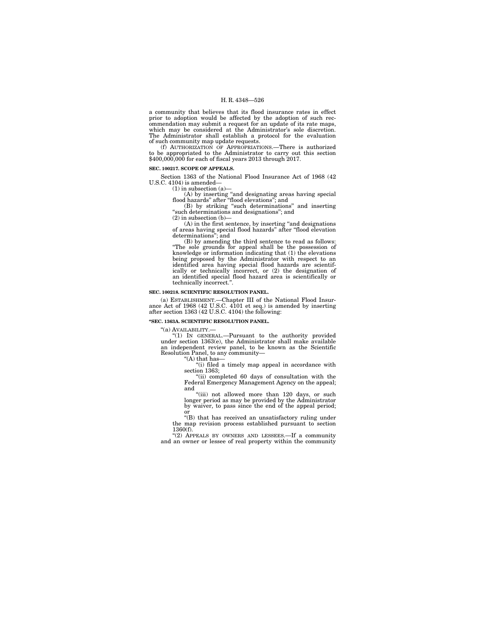a community that believes that its flood insurance rates in effect prior to adoption would be affected by the adoption of such recommendation may submit a request for an update of its rate maps, which may be considered at the Administrator's sole discretion. The Administrator shall establish a protocol for the evaluation of such community map update requests.

(f) AUTHORIZATION OF APPROPRIATIONS.—There is authorized to be appropriated to the Administrator to carry out this section \$400,000,000 for each of fiscal years 2013 through 2017.

#### **SEC. 100217. SCOPE OF APPEALS.**

Section 1363 of the National Flood Insurance Act of 1968 (42 U.S.C. 4104) is amended-

 $(1)$  in subsection  $(a)$ 

(A) by inserting ''and designating areas having special flood hazards'' after ''flood elevations''; and (B) by striking ''such determinations'' and inserting

''such determinations and designations''; and

(2) in subsection (b)—

 $(A)$  in the first sentence, by inserting "and designations" of areas having special flood hazards'' after ''flood elevation determinations''; and

(B) by amending the third sentence to read as follows:<br>"The sole grounds for appeal shall be the possession of<br>knowledge or information indicating that (1) the elevations<br>being proposed by the Administrator with respect to technically incorrect.''.

#### **SEC. 100218. SCIENTIFIC RESOLUTION PANEL.**

(a) ESTABLISHMENT.—Chapter III of the National Flood Insur-ance Act of 1968 (42 U.S.C. 4101 et seq.) is amended by inserting after section 1363 (42 U.S.C. 4104) the following:

#### **''SEC. 1363A. SCIENTIFIC RESOLUTION PANEL.**

"(a) AVAILABILITY.-

''(1) IN GENERAL.—Pursuant to the authority provided under section 1363(e), the Administrator shall make available an independent review panel, to be known as the Scientific Resolution Panel, to any community—

"(A) that has—"(i) filed a timely map appeal in accordance with section 1363;

''(ii) completed 60 days of consultation with the Federal Emergency Management Agency on the appeal; and

"(iii) not allowed more than 120 days, or such longer period as may be provided by the Administrator by waiver, to pass since the end of the appeal period; or

''(B) that has received an unsatisfactory ruling under the map revision process established pursuant to section 1360(f).

''(2) APPEALS BY OWNERS AND LESSEES.—If a community and an owner or lessee of real property within the community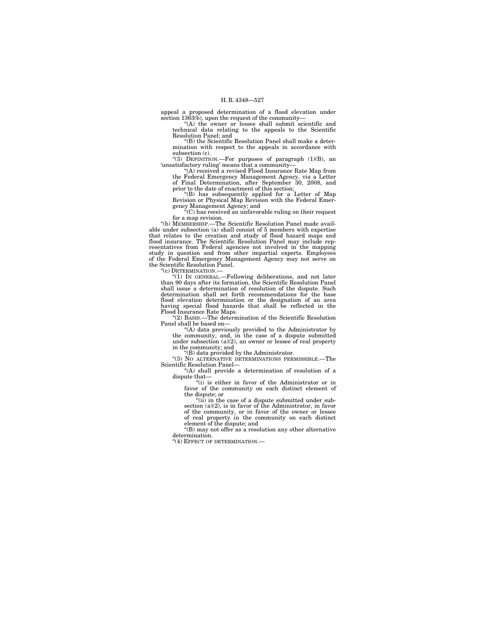appeal a proposed determination of a flood elevation under section 1363(b), upon the request of the community—

''(A) the owner or lessee shall submit scientific and technical data relating to the appeals to the Scientific Resolution Panel; and

''(B) the Scientific Resolution Panel shall make a determination with respect to the appeals in accordance with subsection (c).

''(3) DEFINITION.—For purposes of paragraph (1)(B), an 'unsatisfactory ruling' means that a community— ''(A) received a revised Flood Insurance Rate Map from

the Federal Emergency Management Agency, via a Letter of Final Determination, after September 30, 2008, and prior to the date of enactment of this section;

''(B) has subsequently applied for a Letter of Map Revision or Physical Map Revision with the Federal Emergency Management Agency; and ''(C) has received an unfavorable ruling on their request

for a map revision.

''(b) MEMBERSHIP.—The Scientific Resolution Panel made available under subsection (a) shall consist of 5 members with expertise that relates to the creation and study of flood hazard maps and flood insurance. The Scientific Resolution Panel may include representatives from Federal agencies not involved in the mapping study in question and from other impartial experts. Employees of the Federal Emergency Management Agency may not serve on the Scientific Resolution Panel.

''(c) DETERMINATION.—

''(1) IN GENERAL.—Following deliberations, and not later than 90 days after its formation, the Scientific Resolution Panel shall issue a determination of resolution of the dispute. Such determination shall set forth recommendations for the base flood elevation determination or the designation of an area having special flood hazards that shall be reflected in the Flood Insurance Rate Maps.

''(2) BASIS.—The determination of the Scientific Resolution Panel shall be based on—

''(A) data previously provided to the Administrator by the community, and, in the case of a dispute submitted under subsection (a)(2), an owner or lessee of real property in the community; and

''(B) data provided by the Administrator.

''(3) NO ALTERNATIVE DETERMINATIONS PERMISSIBLE.—The Scientific Resolution Panel—<br>"(A) shall provide a determination of resolution of a

dispute that—<br>"(i) is either in favor of the Administrator or in

favor of the community on each distinct element of the dispute; or

" $(ii)$  in the case of a dispute submitted under subsection (a)(2), is in favor of the Administrator, in favor

of the community, or in favor of the owner or lessee of real property in the community on each distinct element of the dispute; and

''(B) may not offer as a resolution any other alternative determination.

"(4) EFFECT OF DETERMINATION.—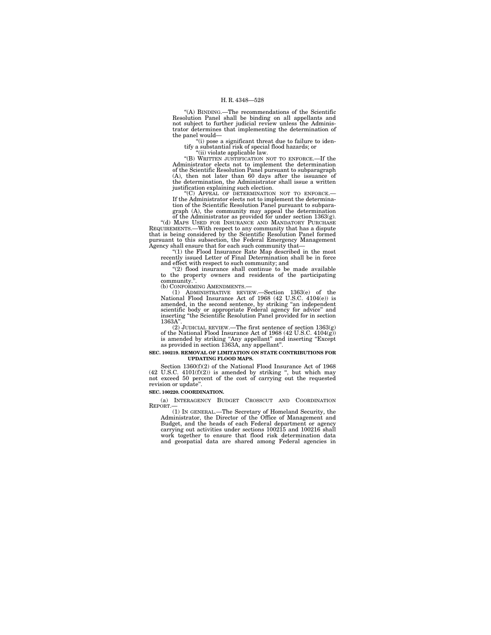''(A) BINDING.—The recommendations of the Scientific Resolution Panel shall be binding on all appellants and not subject to further judicial review unless the Administrator determines that implementing the determination of the panel would—

''(i) pose a significant threat due to failure to identify a substantial risk of special flood hazards; or ''(ii) violate applicable law.

"(B) WRITTEN JUSTIFICATION NOT TO ENFORCE.—If the Administrator elects not to implement the determination of the Scientific Resolution Panel pursuant to subparagraph (A), then not later than 60 days after the issuance of the determination, the Administrator shall issue a written justification explaining such election.<br>"(C) APPEAL OF DETERMINATION NOT TO ENFORCE.

If the Administrator elects not to implement the determination of the Scientific Resolution Panel pursuant to subpara-

graph (A), the community may appeal the determination of the Administrator as provided for under section 1363(g). ''(d) MAPS USED FOR INSURANCE AND MANDATORY PURCHASE REQUIREMENTS.—With respect to any community that has a dispute that is being considered by the Scientific Resolution Panel formed pursuant to this subsection, the Federal Emergency Management Agency shall ensure that for each such community that—

''(1) the Flood Insurance Rate Map described in the most recently issued Letter of Final Determination shall be in force

and effect with respect to such community; and "(2) flood insurance shall continue to be made available to the property owners and residents of the participating community.".<br>(b) CONFORMING AMENDMENTS.-

(b) CONFORMING AMENDMENTS.— (1) ADMINISTRATIVE REVIEW.—Section 1363(e) of the National Flood Insurance Act of 1968 (42 U.S.C. 4104(e)) is amended, in the second sentence, by striking ''an independent scientific body or appropriate Federal agency for advice'' and inserting ''the Scientific Resolution Panel provided for in section 1363A'

(2) JUDICIAL REVIEW.—The first sentence of section 1363(g) of the National Flood Insurance Act of 1968 (42 U.S.C. 4104(g)) is amended by striking ''Any appellant'' and inserting ''Except as provided in section 1363A, any appellant''.

#### **SEC. 100219. REMOVAL OF LIMITATION ON STATE CONTRIBUTIONS FOR UPDATING FLOOD MAPS.**

Section 1360(f)(2) of the National Flood Insurance Act of 1968  $(42 \text{ U.S.C. } 4101 \text{ (f)}(2))$  is amended by striking ", but which may not exceed 50 percent of the cost of carrying out the requested revision or update''.

## **SEC. 100220. COORDINATION.**

(a) INTERAGENCY BUDGET CROSSCUT AND COORDINATION REPORT.—

(1) IN GENERAL.—The Secretary of Homeland Security, the Administrator, the Director of the Office of Management and Budget, and the heads of each Federal department or agency carrying out activities under sections 100215 and 100216 shall work together to ensure that flood risk determination data and geospatial data are shared among Federal agencies in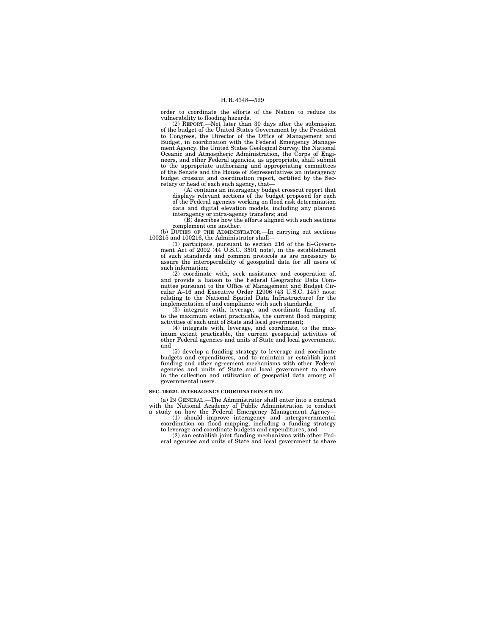order to coordinate the efforts of the Nation to reduce its vulnerability to flooding hazards.

(2) REPORT.—Not later than 30 days after the submission of the budget of the United States Government by the President to Congress, the Director of the Office of Management and Budget, in coordination with the Federal Emergency Management Agency, the United States Geological Survey, the National Oceanic and Atmospheric Administration, the Corps of Engi-neers, and other Federal agencies, as appropriate, shall submit to the appropriate authorizing and appropriating committees of the Senate and the House of Representatives an interagency budget crosscut and coordination report, certified by the Secretary or head of each such agency, that—

(A) contains an interagency budget crosscut report that displays relevant sections of the budget proposed for each of the Federal agencies working on flood risk determination data and digital elevation models, including any planned interagency or intra-agency transfers; and

(B) describes how the efforts aligned with such sections complement one another.

(b) DUTIES OF THE ADMINISTRATOR.—In carrying out sections 100215 and 100216, the Administrator shall—

(1) participate, pursuant to section 216 of the E–Govern-ment Act of 2002 (44 U.S.C. 3501 note), in the establishment of such standards and common protocols as are necessary to assure the interoperability of geospatial data for all users of such information;

(2) coordinate with, seek assistance and cooperation of, and provide a liaison to the Federal Geographic Data Committee pursuant to the Office of Management and Budget Circular A–16 and Executive Order 12906 (43 U.S.C. 1457 note; relating to the National Spatial Data Infrastructure) for the implementation of and compliance with such standards;

(3) integrate with, leverage, and coordinate funding of, to the maximum extent practicable, the current flood mapping activities of each unit of State and local government;

(4) integrate with, leverage, and coordinate, to the max-imum extent practicable, the current geospatial activities of other Federal agencies and units of State and local government; and

(5) develop a funding strategy to leverage and coordinate budgets and expenditures, and to maintain or establish joint funding and other agreement mechanisms with other Federal agencies and units of State and local government to share in the collection and utilization of geospatial data among all governmental users.

## **SEC. 100221. INTERAGENCY COORDINATION STUDY.**

(a) IN GENERAL.—The Administrator shall enter into a contract

with the National Academy of Public Administration to conduct<br>a study on how the Federal Emergency Management Agency—<br>(1) should improve interagency and intergovernmental<br>coordination on flood mapping, including a funding

(2) can establish joint funding mechanisms with other Federal agencies and units of State and local government to share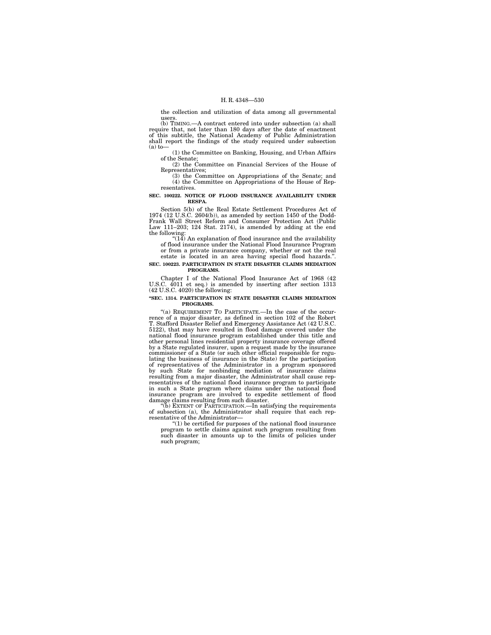the collection and utilization of data among all governmental users.

(b) TIMING.—A contract entered into under subsection (a) shall require that, not later than 180 days after the date of enactment of this subtitle, the National Academy of Public Administration shall report the findings of the study required under subsection  $(a)$  to-

(1) the Committee on Banking, Housing, and Urban Affairs of the Senate;

(2) the Committee on Financial Services of the House of Representatives;

(3) the Committee on Appropriations of the Senate; and (4) the Committee on Appropriations of the House of Representatives.

#### **SEC. 100222. NOTICE OF FLOOD INSURANCE AVAILABILITY UNDER RESPA.**

Section 5(b) of the Real Estate Settlement Procedures Act of 1974 (12 U.S.C. 2604(b)), as amended by section 1450 of the Dodd-Frank Wall Street Reform and Consumer Protection Act (Public Law 111–203; 124 Stat. 2174), is amended by adding at the end

the following:<br>"(14) An explanation of flood insurance and the availability of flood insurance under the National Flood Insurance Program

or from a private insurance company, whether or not the real estate is located in an area having special flood hazards.''.

#### **SEC. 100223. PARTICIPATION IN STATE DISASTER CLAIMS MEDIATION PROGRAMS.**

Chapter I of the National Flood Insurance Act of 1968 (42 U.S.C. 4011 et seq.) is amended by inserting after section 1313 (42 U.S.C. 4020) the following:

#### **''SEC. 1314. PARTICIPATION IN STATE DISASTER CLAIMS MEDIATION PROGRAMS.**

''(a) REQUIREMENT TO PARTICIPATE.—In the case of the occurrence of a major disaster, as defined in section 102 of the Robert T. Stafford Disaster Relief and Emergency Assistance Act (42 U.S.C. 5122), that may have resulted in flood damage covered under the national flood insurance program established under this title and other personal lines residential property insurance coverage offered by a State regulated insurer, upon a request made by the insurance commissioner of a State (or such other official responsible for regulating the business of insurance in the State) for the participation of representatives of the Administrator in a program sponsored by such State for nonbinding mediation of insurance claims resulting from a major disaster, the Administrator shall cause representatives of the national flood insurance program to participate in such a State program where claims under the national flood insurance program are involved to expedite settlement of flood damage claims resulting from such disaster.

(b) EXTENT OF PARTICIPATION.—In satisfying the requirements of subsection (a), the Administrator shall require that each representative of the Administrator—

 $''(1)$  be certified for purposes of the national flood insurance program to settle claims against such program resulting from such disaster in amounts up to the limits of policies under such program;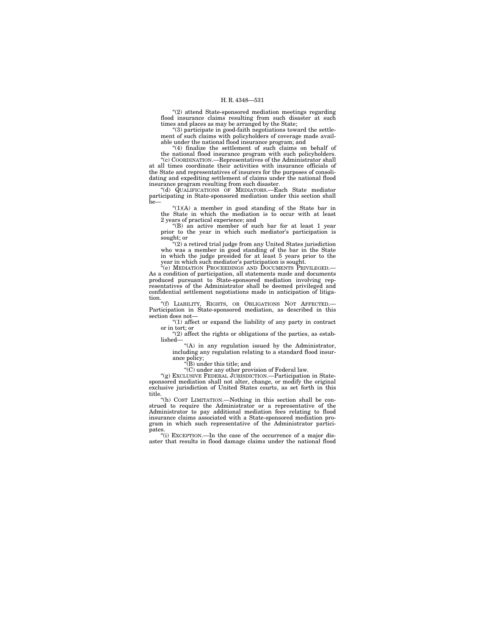''(2) attend State-sponsored mediation meetings regarding flood insurance claims resulting from such disaster at such times and places as may be arranged by the State;

''(3) participate in good-faith negotiations toward the settlement of such claims with policyholders of coverage made available under the national flood insurance program; and

''(4) finalize the settlement of such claims on behalf of the national flood insurance program with such policyholders. '(c) COORDINATION.—Representatives of the Administrator shall at all times coordinate their activities with insurance officials of

the State and representatives of insurers for the purposes of consolidating and expediting settlement of claims under the national flood insurance program resulting from such disaster.

''(d) QUALIFICATIONS OF MEDIATORS.—Each State mediator participating in State-sponsored mediation under this section shall be—

 $'(1)(A)$  a member in good standing of the State bar in the State in which the mediation is to occur with at least 2 years of practical experience; and

''(B) an active member of such bar for at least 1 year prior to the year in which such mediator's participation is sought; or

''(2) a retired trial judge from any United States jurisdiction who was a member in good standing of the bar in the State in which the judge presided for at least 5 years prior to the year in which such mediator's participation is sought.

''(e) MEDIATION PROCEEDINGS AND DOCUMENTS PRIVILEGED.— As a condition of participation, all statements made and documents produced pursuant to State-sponsored mediation involving rep-resentatives of the Administrator shall be deemed privileged and confidential settlement negotiations made in anticipation of litigation.

"(f) LIABILITY, RIGHTS, OR OBLIGATIONS NOT AFFECTED. Participation in State-sponsored mediation, as described in this section does not—

 $(1)$  affect or expand the liability of any party in contract or in tort; or

''(2) affect the rights or obligations of the parties, as established—

"(A) in any regulation issued by the Administrator, including any regulation relating to a standard flood insurance policy;

''(B) under this title; and

''(C) under any other provision of Federal law.

''(g) EXCLUSIVE FEDERAL JURISDICTION.—Participation in State-sponsored mediation shall not alter, change, or modify the original exclusive jurisdiction of United States courts, as set forth in this title.

''(h) COST LIMITATION.—Nothing in this section shall be construed to require the Administrator or a representative of the Administrator to pay additional mediation fees relating to flood insurance claims associated with a State-sponsored mediation program in which such representative of the Administrator participates.

''(i) EXCEPTION.—In the case of the occurrence of a major disaster that results in flood damage claims under the national flood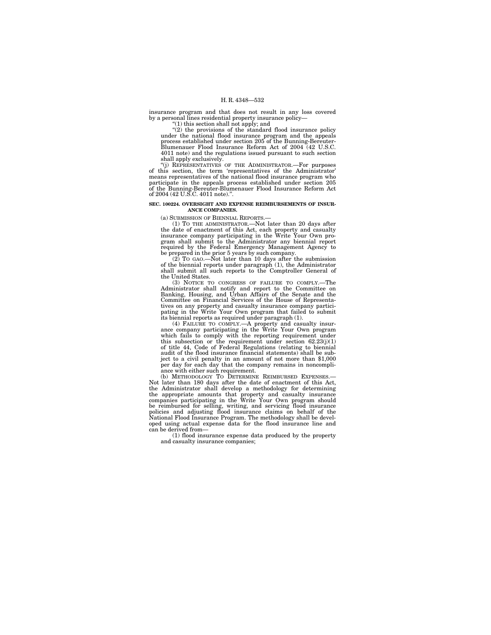insurance program and that does not result in any loss covered by a personal lines residential property insurance policy—

''(1) this section shall not apply; and ''(2) the provisions of the standard flood insurance policy under the national flood insurance program and the appeals process established under section 205 of the Bunning-Bereuter-Blumenauer Flood Insurance Reform Act of 2004 (42 U.S.C. 4011 note) and the regulations issued pursuant to such section

shall apply exclusively. ''(j) REPRESENTATIVES OF THE ADMINISTRATOR.—For purposes of this section, the term 'representatives of the Administrator' means representatives of the national flood insurance program who participate in the appeals process established under section 205 of the Bunning-Bereuter-Blumenauer Flood Insurance Reform Act of 2004 (42 U.S.C. 4011 note)."

#### **SEC. 100224. OVERSIGHT AND EXPENSE REIMBURSEMENTS OF INSUR-ANCE COMPANIES.**

(a) SUBMISSION OF BIENNIAL REPORTS.—

(1) To THE ADMINISTRATOR.—Not later than 20 days after the date of enactment of this Act, each property and casualty insurance company participating in the Write Your Own pro-<br>insurance company participating in the Write Y required by the Federal Emergency Management Agency to be prepared in the prior 5 years by such company.

(2) TO GAO.—Not later than 10 days after the submission of the biennial reports under paragraph (1), the Administrator shall submit all such reports to the Comptroller General of the United States.

(3) NOTICE TO CONGRESS OF FAILURE TO COMPLY.—The Administrator shall notify and report to the Committee on Banking, Housing, and Urban Affairs of the Senate and the Committee on Financial Services of the House of Representatives on any property and casualty insurance company partici-pating in the Write Your Own program that failed to submit its biennial reports as required under paragraph (1).

(4) FAILURE TO COMPLY.—A property and casualty insur-<br>ance company participating in the Write Your Own program<br>which fails to comply with the reporting requirement under<br>this subsection or the requirement under section  $6$ of title 44, Code of Federal Regulations (relating to biennial audit of the flood insurance financial statements) shall be subject to a civil penalty in an amount of not more than \$1,000 per day for each day that the company remains in noncompli-ance with either such requirement. (b) METHODOLOGY TO DETERMINE REIMBURSED EXPENSES.—

Not later than 180 days after the date of enactment of this Act, the Administrator shall develop a methodology for determining the appropriate amounts that property and casualty insurance companies participating in the Write Your Own program should be reimbursed for selling, writing, and servicing flood insurance policies and adjusting flood insurance claims on behalf of the National Flood Insurance Program. The methodology shall be developed using actual expense data for the flood insurance line and can be derived from—

(1) flood insurance expense data produced by the property and casualty insurance companies;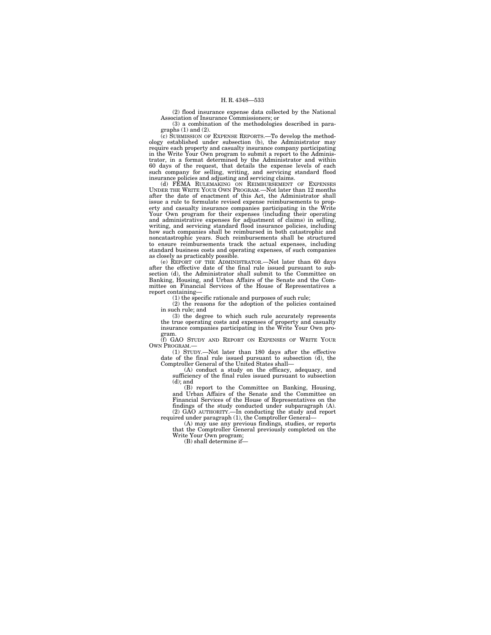(2) flood insurance expense data collected by the National Association of Insurance Commissioners; or

(3) a combination of the methodologies described in paragraphs (1) and (2).

(c) SUBMISSION OF EXPENSE REPORTS.—To develop the methodology established under subsection (b), the Administrator may require each property and casualty insurance company participating in the Write Your Own program to submit a report to the Administrator, in a format determined by the Administrator and within 60 days of the request, that details the expense levels of each such company for selling, writing, and servicing standard flood insurance policies and adjusting and servicing claims.

(d) FEMA RULEMAKING ON REIMBURSEMENT OF EXPENSES UNDER THE WRITE YOUR OWN PROGRAM.—Not later than 12 months after the date of enactment of this Act, the Administrator shall issue a rule to formulate revised expense reimbursements to property and casualty insurance companies participating in the Write Your Own program for their expenses (including their operating and administrative expenses for adjustment of claims) in selling, writing, and servicing standard flood insurance policies, including how such companies shall be reimbursed in both catastrophic and noncatastrophic years. Such reimbursements shall be structured to ensure reimbursements track the actual expenses, including standard business costs and operating expenses, of such companies as closely as practicably possible.

(e) REPORT OF THE ADMINISTRATOR.—Not later than 60 days after the effective date of the final rule issued pursuant to subsection (d), the Administrator shall submit to the Committee on Banking, Housing, and Urban Affairs of the Senate and the Com-mittee on Financial Services of the House of Representatives a report containing—

(1) the specific rationale and purposes of such rule;

(2) the reasons for the adoption of the policies contained in such rule; and

(3) the degree to which such rule accurately represents the true operating costs and expenses of property and casualty insurance companies participating in the Write Your Own program.

(f) GAO STUDY AND REPORT ON EXPENSES OF WRITE YOUR OWN PROGRAM.—

(1) STUDY.—Not later than 180 days after the effective date of the final rule issued pursuant to subsection (d), the Comptroller General of the United States shall—

(A) conduct a study on the efficacy, adequacy, and sufficiency of the final rules issued pursuant to subsection (d); and

(B) report to the Committee on Banking, Housing, and Urban Affairs of the Senate and the Committee on Financial Services of the House of Representatives on the findings of the study conducted under subparagraph (A). (2) GAO AUTHORITY.—In conducting the study and report required under paragraph (1), the Comptroller General—

(A) may use any previous findings, studies, or reports that the Comptroller General previously completed on the Write Your Own program;

(B) shall determine if—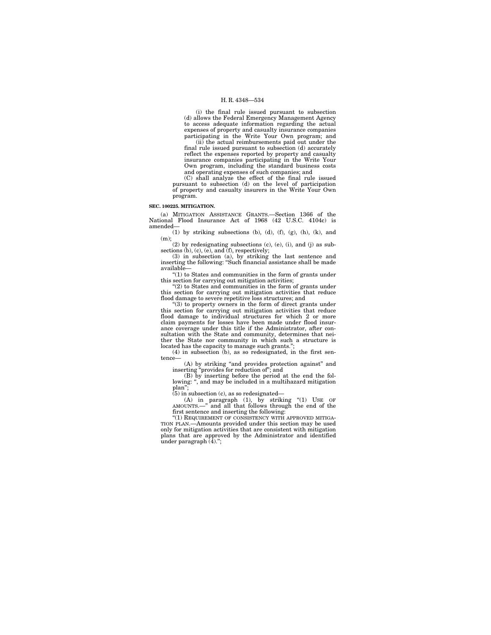(i) the final rule issued pursuant to subsection (d) allows the Federal Emergency Management Agency to access adequate information regarding the actual expenses of property and casualty insurance companies participating in the Write Your Own program; and (ii) the actual reimbursements paid out under the

final rule issued pursuant to subsection (d) accurately reflect the expenses reported by property and casualty insurance companies participating in the Write Your Own program, including the standard business costs and operating expenses of such companies; and

(C) shall analyze the effect of the final rule issued pursuant to subsection (d) on the level of participation of property and casualty insurers in the Write Your Own program.

#### **SEC. 100225. MITIGATION.**

(a) MITIGATION ASSISTANCE GRANTS.—Section 1366 of the National Flood Insurance Act of 1968 (42 U.S.C. 4104c) is amended—

(1) by striking subsections (b), (d), (f), (g), (h), (k), and (m);

(2) by redesignating subsections (c), (e), (i), and (j) as subsections (b),  $(c)$ ,  $(e)$ , and  $(f)$ , respectively; (3) in subsection (a), by striking the last sentence and

inserting the following: ''Such financial assistance shall be made available—

''(1) to States and communities in the form of grants under this section for carrying out mitigation activities;

''(2) to States and communities in the form of grants under this section for carrying out mitigation activities that reduce flood damage to severe repetitive loss structures; and

''(3) to property owners in the form of direct grants under this section for carrying out mitigation activities that reduce flood damage to individual structures for which 2 or more claim payments for losses have been made under flood insur-ance coverage under this title if the Administrator, after consultation with the State and community, determines that nei-ther the State nor community in which such a structure is located has the capacity to manage such grants.'';

(4) in subsection (b), as so redesignated, in the first sentence—

(A) by striking ''and provides protection against'' and

inserting "provides for reduction of"; and<br>
(B) by inserting before the period at the end the fol-<br>
lowing: ", and may be included in a multihazard mitigation plan'';

 $(5)$  in subsection  $(c)$ , as so redesignated-

(A) in paragraph (1), by striking ''(1) USE OF AMOUNTS.—'' and all that follows through the end of the first sentence and inserting the following:

"(1) REQUIREMENT OF CONSISTENCY WITH APPROVED MITIGA-TION PLAN.—Amounts provided under this section may be used only for mitigation activities that are consistent with mitigation plans that are approved by the Administrator and identified under paragraph  $(4)$ .";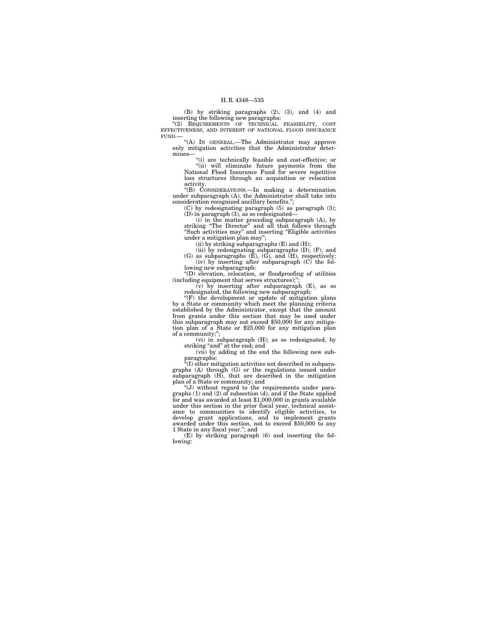(B) by striking paragraphs (2), (3), and (4) and inserting the following new paragraphs:

"(2) REQUIREMENTS OF TECHNICAL FEASIBILITY, COST EFFECTIVENESS, AND INTEREST OF NATIONAL FLOOD INSURANCE FUND.—

''(A) IN GENERAL.—The Administrator may approve only mitigation activities that the Administrator determines—

''(i) are technically feasible and cost-effective; or ''(ii) will eliminate future payments from the National Flood Insurance Fund for severe repetitive loss structures through an acquisition or relocation activity.

''(B) CONSIDERATIONS.—In making a determination under subparagraph (A), the Administrator shall take into consideration recognized ancillary benefits.'';

(C) by redesignating paragraph (5) as paragraph (3); (D) in paragraph (3), as so redesignated—

(i) in the matter preceding subparagraph (A), by striking ''The Director'' and all that follows through ''Such activities may'' and inserting ''Eligible activities under a mitigation plan may'';

(ii) by striking subparagraphs (E) and (H);

(iii) by redesignating subparagraphs (D), (F), and (G) as subparagraphs (E), (G), and (H), respectively; (iv) by inserting after subparagraph (C) the fol-

lowing new subparagraph: ''(D) elevation, relocation, or floodproofing of utilities

(including equipment that serves structures);''; (v) by inserting after subparagraph (E), as so

redesignated, the following new subparagraph: "(F) the development or update of mitigation plans

by a State or community which meet the planning criteria established by the Administrator, except that the amount from grants under this section that may be used under this subparagraph may not exceed \$50,000 for any mitigation plan of a State or \$25,000 for any mitigation plan of a community;'';

(vi) in subparagraph (H); as so redesignated, by striking "and" at the end; and

(vii) by adding at the end the following new subparagraphs:

 $\mathcal{F}(I)$  other mitigation activities not described in subparagraphs (A) through (G) or the regulations issued under

subparagraph (H), that are described in the mitigation plan of a State or community; and requirements under para-<br>"(J) without regard to the requirements under para-<br>graphs (1) and (2) of subsection (d), and if the State a for and was awarded at least \$1,000,000 in grants available under this section in the prior fiscal year, technical assistance to communities to identify eligible activities, to develop grant applications, and to implement grants awarded under this section, not to exceed \$50,000 to any 1 State in any fiscal year.''; and

(E) by striking paragraph (6) and inserting the following: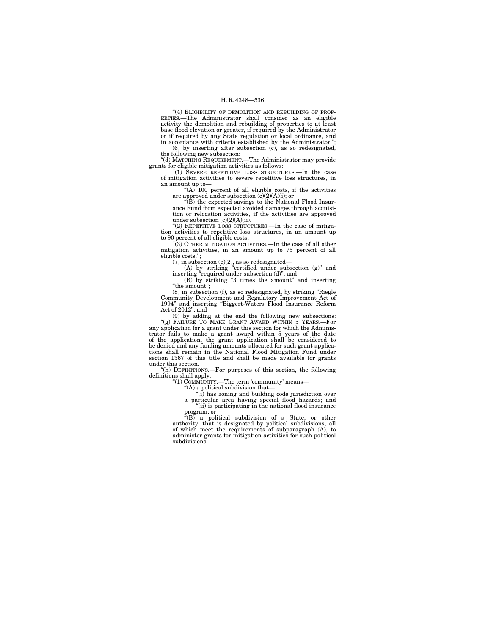''(4) ELIGIBILITY OF DEMOLITION AND REBUILDING OF PROP-ERTIES.—The Administrator shall consider as an eligible activity the demolition and rebuilding of properties to at least base flood elevation or greater, if required by the Administrator or if required by any State regulation or local ordinance, and in accordance with criteria established by the Administrator.'';

(6) by inserting after subsection (c), as so redesignated, the following new subsection:

''(d) MATCHING REQUIREMENT.—The Administrator may provide grants for eligible mitigation activities as follows:<br>"(1) SEVERE REPETITIVE LOSS STRUCTURES.—In the case

of mitigation activities to severe repetitive loss structures, in an amount up to—

" $(A)$  100 percent of all eligible costs, if the activities are approved under subsection  $(c)(2)(A)(i)$ ; or "(B) the expected savings to the National Flood Insur-

ance Fund from expected avoided damages through acquisition or relocation activities, if the activities are approved under subsection (c)(2)(A)(ii).

"(2) REPETITIVE LOSS STRUCTURES.—In the case of mitigation activities to repetitive loss structures, in an amount up to 90 percent of all eligible costs.

''(3) OTHER MITIGATION ACTIVITIES.—In the case of all other mitigation activities, in an amount up to 75 percent of all eligible costs.'';

(7) in subsection (e)(2), as so redesignated—<br>
(A) by striking "certified under subsection (g)" and<br>
inserting "required under subsection (d)"; and<br>
(B) by striking "3 times the amount" and inserting

"the amount";

(8) in subsection (f), as so redesignated, by striking ''Riegle Community Development and Regulatory Improvement Act of 1994'' and inserting ''Biggert-Waters Flood Insurance Reform Act of 2012''; and

(9) by adding at the end the following new subsections: ''(g) FAILURE TO MAKE GRANT AWARD WITHIN 5 YEARS.—For any application for a grant under this section for which the Administrator fails to make a grant award within 5 years of the date of the application, the grant application shall be considered to be denied and any funding amounts allocated for such grant applications shall remain in the National Flood Mitigation Fund under section 1367 of this title and shall be made available for grants under this section.

''(h) DEFINITIONS.—For purposes of this section, the following definitions shall apply: ''(1) COMMUNITY.—The term 'community' means—

 $(A)$  a political subdivision that—

''(i) has zoning and building code jurisdiction over a particular area having special flood hazards; and "(ii) is participating in the national flood insurance program; or

 $E(B)$  a political subdivision of a State, or other authority, that is designated by political subdivisions, all of which meet the requirements of subparagraph (A), to administer grants for mitigation activities for such political subdivisions.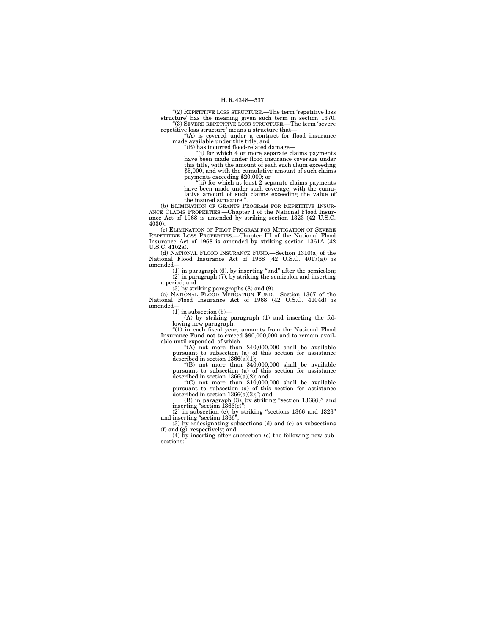''(2) REPETITIVE LOSS STRUCTURE.—The term 'repetitive loss structure' has the meaning given such term in section 1370. ''(3) SEVERE REPETITIVE LOSS STRUCTURE.—The term 'severe repetitive loss structure' means a structure that—

''(A) is covered under a contract for flood insurance made available under this title; and

''(B) has incurred flood-related damage—

''(i) for which 4 or more separate claims payments have been made under flood insurance coverage under this title, with the amount of each such claim exceeding \$5,000, and with the cumulative amount of such claims payments exceeding \$20,000; or

"(ii) for which at least  $2$  separate claims payments have been made under such coverage, with the cumulative amount of such claims exceeding the value of

the insured structure.''. (b) ELIMINATION OF GRANTS PROGRAM FOR REPETITIVE INSUR- ANCE CLAIMS PROPERTIES.—Chapter I of the National Flood Insur-ance Act of 1968 is amended by striking section 1323 (42 U.S.C. 4030).

(c) ELIMINATION OF PILOT PROGRAM FOR MITIGATION OF SEVERE REPETITIVE LOSS PROPERTIES.—Chapter III of the National Flood Insurance Act of 1968 is amended by striking section 1361A (42) U.S.C. 4102a).

(d) NATIONAL FLOOD INSURANCE FUND.—Section 1310(a) of the National Flood Insurance Act of 1968 (42 U.S.C. 4017(a)) is amended—

(1) in paragraph (6), by inserting ''and'' after the semicolon; (2) in paragraph (7), by striking the semicolon and inserting a period; and

(3) by striking paragraphs (8) and (9).

(e) NATIONAL FLOOD MITIGATION FUND.—Section 1367 of the National Flood Insurance Act of 1968 (42 U.S.C. 4104d) is amended—

 $(1)$  in subsection (b)-

(A) by striking paragraph (1) and inserting the fol-lowing new paragraph:

''(1) in each fiscal year, amounts from the National Flood Insurance Fund not to exceed \$90,000,000 and to remain avail-

"(A) not more than  $$40,000,000$  shall be available pursuant to subsection (a) of this section for assistance described in section 1366(a)(1);

''(B) not more than \$40,000,000 shall be available pursuant to subsection (a) of this section for assistance described in section 1366(a)(2); and ''(C) not more than \$10,000,000 shall be available

pursuant to subsection (a) of this section for assistance described in section  $1366(a)(3)$ ;"; and

(B) in paragraph (3), by striking "section 1366(i)" and

inserting "section 1366(e)";<br>
(2) in subsection (c), by striking "sections 1366 and 1323"<br>
and inserting "section 1366";

(3) by redesignating subsections (d) and (e) as subsections (f) and (g), respectively; and (4) by inserting after subsection (c) the following new sub-

sections: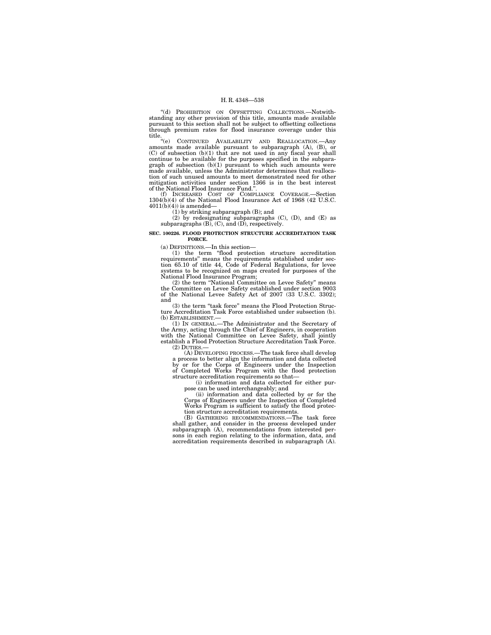''(d) PROHIBITION ON OFFSETTING COLLECTIONS.—Notwithstanding any other provision of this title, amounts made available pursuant to this section shall not be subject to offsetting collections through premium rates for flood insurance coverage under this

title. "(e) CONTINUED AVAILABILITY AND REALLOCATION.—Any amounts made available pursuant to subparagraph (A), (B), or (C) of subsection (b)(1) that are not used in any fiscal year shall continue to be available for the pur tion of such unused amounts to meet demonstrated need for other mitigation activities under section 1366 is in the best interest of the National Flood Insurance Fund.''.

(f) INCREASED COST OF COMPLIANCE COVERAGE.—Section 1304(b)(4) of the National Flood Insurance Act of 1968 (42 U.S.C.  $4011(b)(4)$ ) is amended—

(1) by striking subparagraph (B); and

(2) by redesignating subparagraphs (C), (D), and (E) as subparagraphs (B), (C), and (D), respectively.

#### **SEC. 100226. FLOOD PROTECTION STRUCTURE ACCREDITATION TASK FORCE.**

(a) DEFINITIONS.—In this section— (1) the term ''flood protection structure accreditation requirements'' means the requirements established under sec-tion 65.10 of title 44, Code of Federal Regulations, for levee systems to be recognized on maps created for purposes of the National Flood Insurance Program; (2) the term ''National Committee on Levee Safety'' means

the Committee on Levee Safety established under section 9003 of the National Levee Safety Act of 2007 (33 U.S.C. 3302); and

(3) the term "task force" means the Flood Protection Structure Accreditation Task Force established under subsection (b). (b) ESTABLISHMENT.—

(1) IN GENERAL.—The Administrator and the Secretary of the Army, acting through the Chief of Engineers, in cooperation with the National Committee on Levee Safety, shall jointly establish a Flood Protection Structure Accreditation Task Force. (2) DUTIES.—

(A) DEVELOPING PROCESS.—The task force shall develop a process to better align the information and data collected by or for the Corps of Engineers under the Inspection of Completed Works Program with the flood protection structure accreditation requirements so that—

(i) information and data collected for either purpose can be used interchangeably; and

(ii) information and data collected by or for the Corps of Engineers under the Inspection of Completed Works Program is sufficient to satisfy the flood protection structure accreditation requirements. (B) GATHERING RECOMMENDATIONS.—The task force

shall gather, and consider in the process developed under subparagraph (A), recommendations from interested persons in each region relating to the information, data, and accreditation requirements described in subparagraph (A).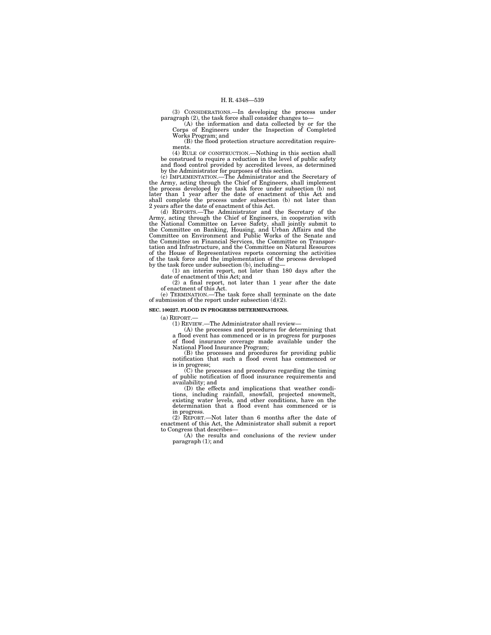(3) CONSIDERATIONS.—In developing the process under paragraph (2), the task force shall consider changes to—

(A) the information and data collected by or for the Corps of Engineers under the Inspection of Completed Works Program; and

(B) the flood protection structure accreditation requirements.

(4) RULE OF CONSTRUCTION.—Nothing in this section shall be construed to require a reduction in the level of public safety and flood control provided by accredited levees, as determined by the Administrator for purposes of this section. (c) IMPLEMENTATION.—The Administrator and the Secretary of

the Army, acting through the Chief of Engineers, shall implement the process developed by the task force under subsection (b) not<br>later than 1 year after the date of enactment of this Act and<br>shall complete the process under subsection (b) not later than<br>2 years after the date of enactm

(d) REPORTS.—The Administrator and the Secretary of the Army, acting through the Chief of Engineers, in cooperation with<br>the National Committee on Levee Safety, shall jointly submit to<br>the Committee on Banking, Housing, and Urban Affairs and the<br>Committee on Environment and Pub the Committee on Financial Services, the Committee on Transportation and Infrastructure, and the Committee on Natural Resources of the House of Representatives reports concerning the activities of the task force and the implementation of the process developed by the task force under subsection (b), including—

(1) an interim report, not later than 180 days after the date of enactment of this Act; and

(2) a final report, not later than 1 year after the date of enactment of this Act.

(e) TERMINATION.—The task force shall terminate on the date of submission of the report under subsection (d)(2).

## **SEC. 100227. FLOOD IN PROGRESS DETERMINATIONS.**

(a) REPORT.—

(1) REVIEW.—The Administrator shall review—

(A) the processes and procedures for determining that a flood event has commenced or is in progress for purposes of flood insurance coverage made available under the National Flood Insurance Program;

(B) the processes and procedures for providing public notification that such a flood event has commenced or

is in progress; (C) the processes and procedures regarding the timing of public notification of flood insurance requirements and availability; and

(D) the effects and implications that weather conditions, including rainfall, snowfall, projected snowmelt, existing water levels, and other conditions, have on the determination that a flood event has commenced or is in progress.

(2) REPORT.—Not later than 6 months after the date of enactment of this Act, the Administrator shall submit a report to Congress that describes-

(A) the results and conclusions of the review under paragraph (1); and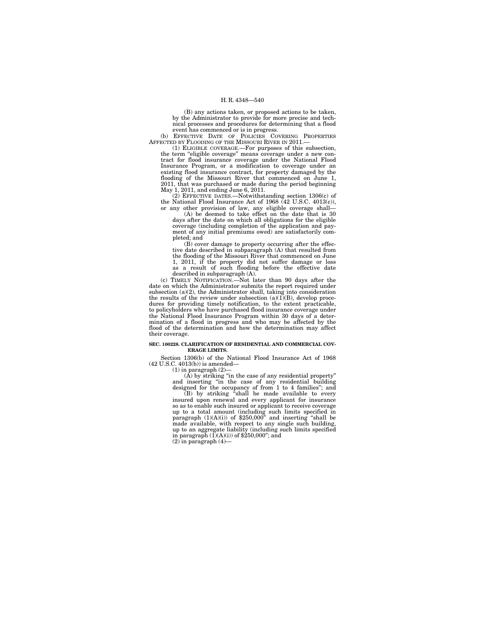(B) any actions taken, or proposed actions to be taken, by the Administrator to provide for more precise and technical processes and procedures for determining that a flood event has commenced or is in progress.

(b) EFFECTIVE DATE OF POLICIES COVERING PROPERTIES AFFECTED BY FLOODING OF THE MISSOURI RIVER IN 2011.—

(1) ELIGIBLE COVERAGE.—For purposes of this subsection, the term "eligible coverage" means coverage under a new contract for flood insurance coverage under the National Flood Insurance Program, or a modification to coverage under an existing flood insurance contract, for property damaged by the flooding of the Missouri River that commenced on June 1, 2011, that was purchased or made during the period beginning May 1, 2011, and ending June 6, 2011.

(2) EFFECTIVE DATES.—Notwithstanding section 1306(c) of the National Flood Insurance Act of 1968 (42 U.S.C. 4013(c)),

or any other provision of law, any eligible coverage shall— (A) be deemed to take effect on the date that is 30 days after the date on which all obligations for the eligible coverage (including completion of the application and payment of any initial premiums owed) are satisfactorily completed; and

(B) cover damage to property occurring after the effective date described in subparagraph (A) that resulted from the flooding of the Missouri River that commenced on June 1, 2011, if the property did not suffer damage or loss as a result of such flooding before the effective date described in subparagraph (A).

(c) TIMELY NOTIFICATION.—Not later than 90 days after the date on which the Administrator submits the report required under subsection (a)(2), the Administrator shall, taking into consideration the results of the review under subsection  $(a)(1)(B)$ , develop procedures for providing timely notification, to the extent practicable, to policyholders who have purchased flood insurance coverage under the National Flood Insurance Program within 30 days of a determination of a flood in progress and who may be affected by the flood of the determination and how the determination may affect their coverage.

#### **SEC. 100228. CLARIFICATION OF RESIDENTIAL AND COMMERCIAL COV-ERAGE LIMITS.**

Section 1306(b) of the National Flood Insurance Act of 1968 (42 U.S.C. 4013(b)) is amended—

(1) in paragraph (2)—

(A) by striking "in the case of any residential property"<br>and inserting "in the case of any residential building<br>designed for the occupancy of from 1 to 4 families"; and<br>(B) by striking "shall be made available to every<br>i so as to enable such insured or applicant to receive coverage up to a total amount (including such limits specified in<br>paragraph (1)(A)(i)) of \$250,000" and inserting "shall be<br>made available, with respect to any single such building,<br>up to an aggregate liability (including such limi in paragraph  $(I)(A)(i)$  of  $$250,000$ "; and (2) in paragraph (4)—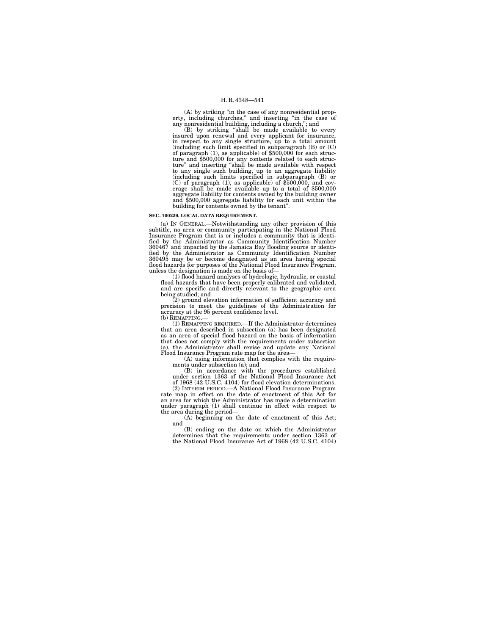(A) by striking "in the case of any nonresidential property, including churches," and inserting "in the case of any nonresidential building, including a church,", and (B) by striking "shall be made available to every

insured upon renewal and every applicant for insurance, in respect to any single structure, up to a total amount<br>(including such limit specified in subparagraph (B) or  $(C)$ <br>of paragraph (1), as applicable) of \$500,000 for each struc-<br>ture and \$500,000 for any contents related ture" and inserting "shall be made available with respect<br>to any single such building, up to an aggregate liability<br>(including such limits specified in subparagraph (B) or<br>(C) of paragraph (1), as applicable) of \$500,000, aggregate liability for contents owned by the building owner and \$500,000 aggregate liability for each unit within the building for contents owned by the tenant''.

## **SEC. 100229. LOCAL DATA REQUIREMENT.**

(a) IN GENERAL.—Notwithstanding any other provision of this subtitle, no area or community participating in the National Flood Insurance Program that is or includes a community that is identified by the Administrator as Community Identification Number 360467 and impacted by the Jamaica Bay flooding source or identi-fied by the Administrator as Community Identification Number 360495 may be or become designated as an area having special flood hazards for purposes of the National Flood Insurance Program, unless the designation is made on the basis of—

(1) flood hazard analyses of hydrologic, hydraulic, or coastal flood hazards that have been properly calibrated and validated, and are specific and directly relevant to the geographic area being studied; and

(2) ground elevation information of sufficient accuracy and precision to meet the guidelines of the Administration for accuracy at the 95 percent confidence level. (b) REMAPPING.—

(1) REMAPPING REQUIRED.—If the Administrator determines that an area described in subsection (a) has been designated as an area of special flood hazard on the basis of information that does not comply with the requirements under subsection (a), the Administrator shall revise and update any National Flood Insurance Program rate map for the area-

(A) using information that complies with the requirements under subsection (a); and

(B) in accordance with the procedures established under section 1363 of the National Flood Insurance Act of 1968 (42 U.S.C. 4104) for flood elevation determinations.

(2) INTERIM PERIOD.—A National Flood Insurance Program rate map in effect on the date of enactment of this Act for an area for which the Administrator has made a determination under paragraph (1) shall continue in effect with respect to the area during the period—

(A) beginning on the date of enactment of this Act; and

(B) ending on the date on which the Administrator determines that the requirements under section 1363 of the National Flood Insurance Act of 1968 (42 U.S.C. 4104)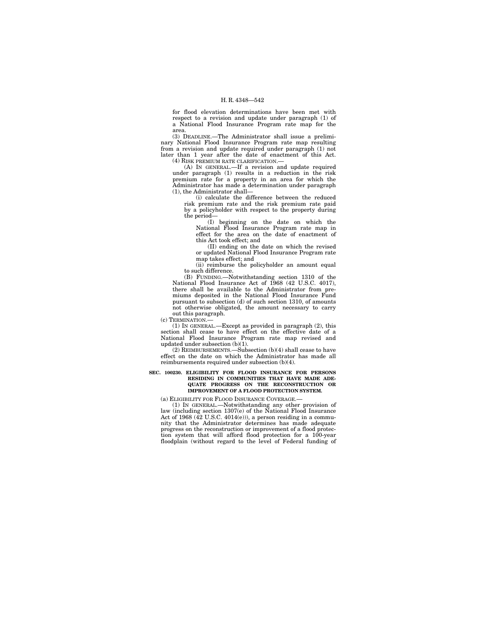for flood elevation determinations have been met with respect to a revision and update under paragraph (1) of a National Flood Insurance Program rate map for the area.

(3) DEADLINE.—The Administrator shall issue a preliminary National Flood Insurance Program rate map resulting from a revision and update required under paragraph (1) not later than 1 year after the date of enactment of this Act. (4) RISK PREMIUM RATE CLARIFICATION.—

(A) IN GENERAL.—If a revision and update required under paragraph (1) results in a reduction in the risk premium rate for a property in an area for which the Administrator has made a determination under paragraph (1), the Administrator shall—

(i) calculate the difference between the reduced risk premium rate and the risk premium rate paid by a policyholder with respect to the property during the period—

(I) beginning on the date on which the National Flood Insurance Program rate map in effect for the area on the date of enactment of this Act took effect; and

(II) ending on the date on which the revised or updated National Flood Insurance Program rate map takes effect; and

(ii) reimburse the policyholder an amount equal to such difference.

(B) FUNDING.—Notwithstanding section 1310 of the National Flood Insurance Act of 1968 (42 U.S.C. 4017), there shall be available to the Administrator from premiums deposited in the National Flood Insurance Fund pursuant to subsection (d) of such section 1310, of amounts not otherwise obligated, the amount necessary to carry out this paragraph.

(c) TERMINATION.—

(1) IN GENERAL.—Except as provided in paragraph (2), this section shall cease to have effect on the effective date of a National Flood Insurance Program rate map revised and updated under subsection (b)(1).

(2) REIMBURSEMENTS.—Subsection  $(\mathrm{b})(4)$  shall cease to have effect on the date on which the Administrator has made all reimbursements required under subsection (b)(4).

#### **SEC. 100230. ELIGIBILITY FOR FLOOD INSURANCE FOR PERSONS RESIDING IN COMMUNITIES THAT HAVE MADE ADE-QUATE PROGRESS ON THE RECONSTRUCTION OR IMPROVEMENT OF A FLOOD PROTECTION SYSTEM.**

(a) ELIGIBILITY FOR FLOOD INSURANCE COVERAGE.—

(1) IN GENERAL.—Notwithstanding any other provision of law (including section 1307(e) of the National Flood Insurance Act of 1968 (42 U.S.C. 4014(e))), a person residing in a community that the Administrator determines has made adequate progress on the reconstruction or improvement of a flood protection system that will afford flood protection for a 100-year floodplain (without regard to the level of Federal funding of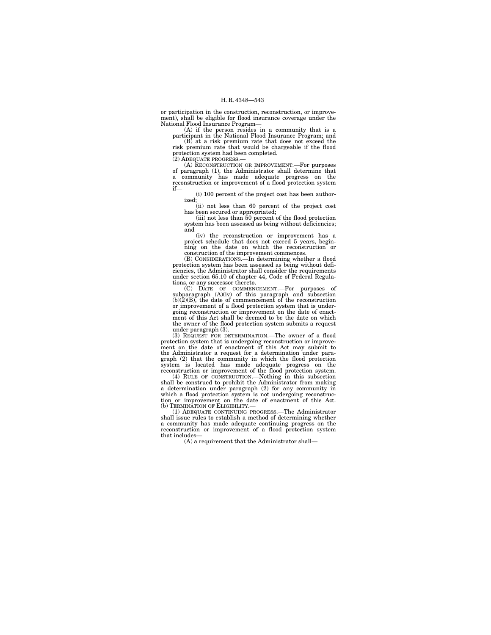or participation in the construction, reconstruction, or improvement), shall be eligible for flood insurance coverage under the National Flood Insurance Program—

(A) if the person resides in a community that is a participant in the National Flood Insurance Program; and

(B) at a risk premium rate that does not exceed the risk premium rate that would be chargeable if the flood protection system had been completed. (2) ADEQUATE PROGRESS.—

(A) RECONSTRUCTION OR IMPROVEMENT.—For purposes of paragraph (1), the Administrator shall determine that a community has made adequate progress on the reconstruction or improvement of a flood protection system if—

(i) 100 percent of the project cost has been authorized;

(ii) not less than 60 percent of the project cost

has been secured or appropriated; (iii) not less than 50 percent of the flood protection system has been assessed as being without deficiencies; and

(iv) the reconstruction or improvement has a project schedule that does not exceed 5 years, beginning on the date on which the reconstruction or construction of the improvement commences.

(B) CONSIDERATIONS.—In determining whether a flood protection system has been assessed as being without deficiencies, the Administrator shall consider the requirements under section 65.10 of chapter 44, Code of Federal Regulations, or any successor thereto.

(C) DATE OF COMMENCEMENT.—For purposes of subparagraph (A)(iv) of this paragraph and subsection  $(b)(2)(B)$ , the date of commencement of the reconstruction or improvement of a flood protection system that is undergoing reconstruction or improvement on the date of enactment of this Act shall be deemed to be the date on which the owner of the flood protection system submits a request under paragraph (3). (3) REQUEST FOR DETERMINATION.—The owner of a flood

protection system that is undergoing reconstruction or improvement on the date of enactment of this Act may submit to the Administrator a request for a determination under paragraph (2) that the community in which the flood protection system is located has made adequate progress on the reconstruction or improvement of the flood protection system.

(4) RULE OF CONSTRUCTION.—Nothing in this subsection shall be construed to prohibit the Administrator from making a determination under paragraph (2) for any community in which a flood protection system is not undergoing reconstruc-tion or improvement on the date of enactment of this Act. (b) TERMINATION OF ELIGIBILITY.—

(1) ADEQUATE CONTINUING PROGRESS.—The Administrator shall issue rules to establish a method of determining whether a community has made adequate continuing progress on the reconstruction or improvement of a flood protection system that includes—

(A) a requirement that the Administrator shall—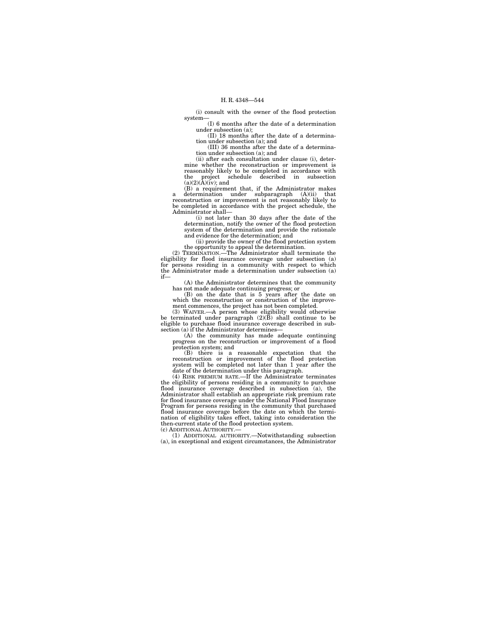(i) consult with the owner of the flood protection system—

(I) 6 months after the date of a determination under subsection (a);

(II) 18 months after the date of a determination under subsection (a); and (III) 36 months after the date of a determina-

tion under subsection (a); and

(ii) after each consultation under clause (i), determine whether the reconstruction or improvement is reasonably likely to be completed in accordance with the project schedule described in subsection  $(a)(2)(\overrightarrow{A})(iv)$ ; and

(B) a requirement that, if the Administrator makes a determination under subparagraph (A)(ii) that reconstruction or improvement is not reasonably likely to be completed in accordance with the project schedule, the Administrator shall—

(i) not later than 30 days after the date of the determination, notify the owner of the flood protection system of the determination and provide the rationale and evidence for the determination; and

(ii) provide the owner of the flood protection system

the opportunity to appeal the determination. (2) TERMINATION.—The Administrator shall terminate the eligibility for flood insurance coverage under subsection (a) for persons residing in a community with respect to which the Administrator made a determination under subsection (a) if—

(A) the Administrator determines that the community has not made adequate continuing progress; or

(B) on the date that is 5 years after the date on which the reconstruction or construction of the improvement commences, the project has not been completed.

(3) WAIVER.—A person whose eligibility would otherwise be terminated under paragraph (2)(B) shall continue to be eligible to purchase flood insurance coverage described in sub-section (a) if the Administrator determines—

(A) the community has made adequate continuing progress on the reconstruction or improvement of a flood protection system; and

(B) there is a reasonable expectation that the reconstruction or improvement of the flood protection system will be completed not later than 1 year after the date of the determination under this paragraph.

(4) RISK PREMIUM RATE.—If the Administrator terminates the eligibility of persons residing in a community to purchase flood insurance coverage described in subsection (a), the Administrator shall establish an appropriate risk premium rate for flood insurance coverage under the National Flood Insurance Program for persons residing in the community that purchased flood insurance coverage before the date on which the termi-nation of eligibility takes effect, taking into consideration the then-current state of the flood protection system. (c) ADDITIONAL AUTHORITY.—

(1) ADDITIONAL AUTHORITY.—Notwithstanding subsection (a), in exceptional and exigent circumstances, the Administrator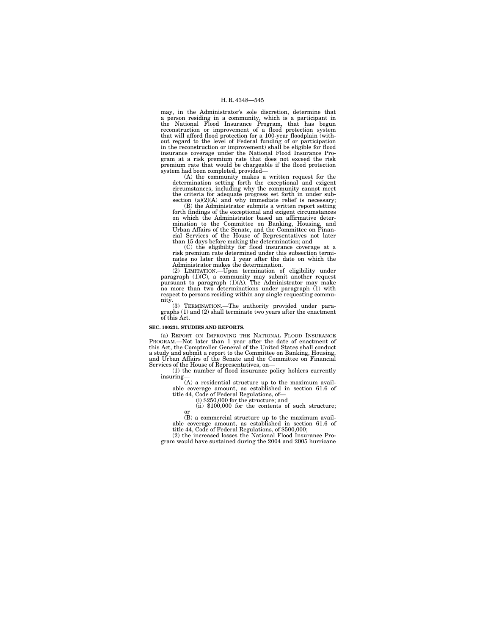may, in the Administrator's sole discretion, determine that a person residing in a community, which is a participant in the National Flood Insurance Program, that has begun reconstruction or improvement of a flood protection system that will afford flood protection for a 100-year floodplain (without regard to the level of Federal funding of or participation in the reconstruction or improvement) shall be eligible for flood insurance coverage under the National Flood Insurance Pro-gram at a risk premium rate that does not exceed the risk premium rate that would be chargeable if the flood protection system had been completed, provided—

(A) the community makes a written request for the determination setting forth the exceptional and exigent circumstances, including why the community cannot meet the criteria for adequate progress set forth in under sub-section (a)(2)(A) and why immediate relief is necessary; (B) the Administrator submits a written report setting

forth findings of the exceptional and exigent circumstances on which the Administrator based an affirmative determination to the Committee on Banking, Housing, and Urban Affairs of the Senate, and the Committee on Finan-cial Services of the House of Representatives not later than 15 days before making the determination; and

(C) the eligibility for flood insurance coverage at a risk premium rate determined under this subsection terminates no later than 1 year after the date on which the Administrator makes the determination.

(2) LIMITATION.—Upon termination of eligibility under paragraph (1)(C), a community may submit another request pursuant to paragraph (1)(A). The Administrator may make no more than two determinations under paragraph (1) with respect to persons residing within any single requesting commu-

nity. (3) TERMINATION.—The authority provided under para-graphs (1) and (2) shall terminate two years after the enactment of this Act.

#### **SEC. 100231. STUDIES AND REPORTS.**

(a) REPORT ON IMPROVING THE NATIONAL FLOOD INSURANCE PROGRAM.—Not later than 1 year after the date of enactment of this Act, the Comptroller General of the United States shall conduct a study and submit a report to the Committee on Banking, Housing, and Urban Affairs of the Senate and the Committee on Financial Services of the House of Representatives, on— (1) the number of flood insurance policy holders currently

insuring—<br>
(A) a residential structure up to the maximum avail-<br>
able coverage amount, as established in section 61.6 of<br>
title 44, Code of Federal Regulations, of—<br>
(i) \$250,000 for the structure; and

 $(ii)$  \$100,000 for the contents of such structure;

(B) a commercial structure up to the maximum avail-able coverage amount, as established in section 61.6 of title 44, Code of Federal Regulations, of \$500,000;

(2) the increased losses the National Flood Insurance Program would have sustained during the 2004 and 2005 hurricane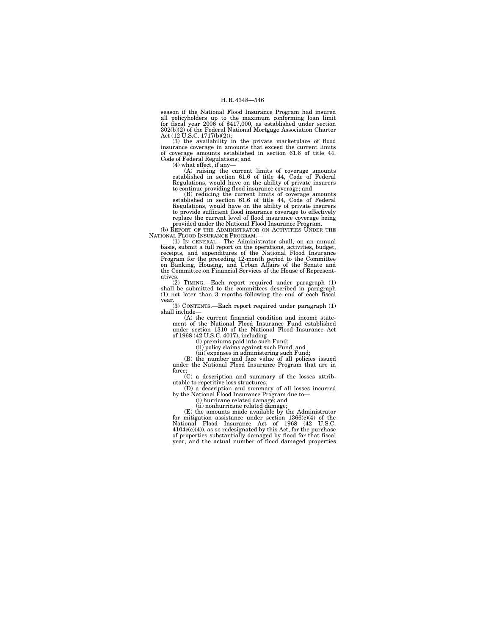season if the National Flood Insurance Program had insured all policyholders up to the maximum conforming loan limit for fiscal year 2006 of \$417,000, as established under section 302(b)(2) of the Federal National Mortgage Association Charter Act (12 U.S.C. 1717(b)(2));

(3) the availability in the private marketplace of flood insurance coverage in amounts that exceed the current limits of coverage amounts established in section 61.6 of title 44, Code of Federal Regulations; and

(4) what effect, if any— (A) raising the current limits of coverage amounts established in section 61.6 of title 44, Code of Federal Regulations, would have on the ability of private insurers to continue providing flood insurance coverage; and

(B) reducing the current limits of coverage amounts established in section 61.6 of title 44, Code of Federal Regulations, would have on the ability of private insurers to provide sufficient flood insurance coverage to effectively replace the current level of flood insurance coverage being provided under the National Flood Insurance Program.

(b) REPORT OF THE ADMINISTRATOR ON ACTIVITIES UNDER THE NATIONAL FLOOD INSURANCE PROGRAM.

(1) IN GENERAL.—The Administrator shall, on an annual basis, submit a full report on the operations, activities, budget, receipts, and expenditures of the National Flood Insurance Program for the preceding 12-month period to the Committee on Banking, Housing, and Urban Affair the Committee on Financial Services of the House of Represent-

atives. (2) TIMING.—Each report required under paragraph (1) shall be submitted to the committees described in paragraph (1) not later than 3 months following the end of each fiscal year. (3) CONTENTS.—Each report required under paragraph (1)

shall include-

(A) the current financial condition and income statement of the National Flood Insurance Fund established under section 1310 of the National Flood Insurance Act of 1968 (42 U.S.C. 4017), including—

(i) premiums paid into such Fund;

(ii) policy claims against such Fund; and

(iii) expenses in administering such Fund; (B) the number and face value of all policies issued under the National Flood Insurance Program that are in force;

(C) a description and summary of the losses attributable to repetitive loss structures;

(D) a description and summary of all losses incurred by the National Flood Insurance Program due to—

(i) hurricane related damage; and

(ii) nonhurricane related damage; (E) the amounts made available by the Administrator for mitigation assistance under section  $1366(c)(4)$  of the National Flood Insurance Act of 1968 (42 U.S.C. 4104c(c)(4)), as so redesignated by this Act, for the purchase of properties substantially damaged by flood for that fiscal year, and the actual number of flood damaged properties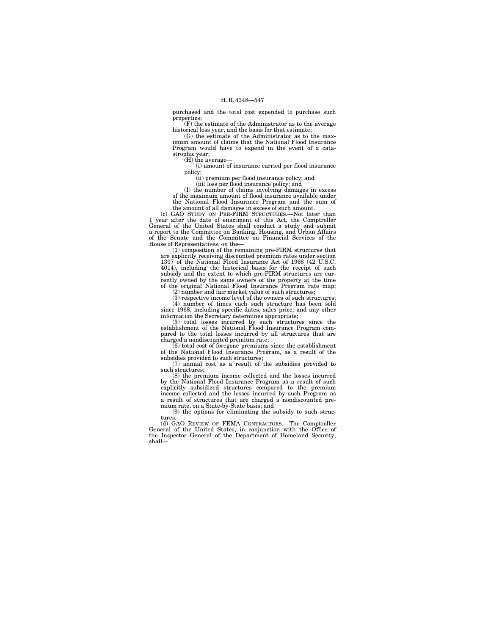purchased and the total cost expended to purchase such properties;

(F) the estimate of the Administrator as to the average historical loss year, and the basis for that estimate;

(G) the estimate of the Administrator as to the maximum amount of claims that the National Flood Insurance Program would have to expend in the event of a catastrophic year;

 $(H)$  the average-

(i) amount of insurance carried per flood insurance policy;

(ii) premium per flood insurance policy; and

(iii) loss per flood insurance policy; and

(I) the number of claims involving damages in excess of the maximum amount of flood insurance available under the National Flood Insurance Program and the sum of the amount of all damages in excess of such amount.

(c) GAO STUDY ON PRE-FIRM STRUCTURES.—Not later than 1 year after the date of enactment of this Act, the Comptroller General of the United States shall conduct a study and submit a report to the Committee on Banking, Housing, and Urban Affairs of the Senate and the Committee on Financial Services of the House of Representatives, on the—

(1) composition of the remaining pre-FIRM structures that are explicitly receiving discounted premium rates under section 1307 of the National Flood Insurance Act of 1968 (42 U.S.C. 4014), including the historical basis for the receipt of such subsidy and the extent to which pre-FIRM structures are currently owned by the same owners of the property at the time of the original National Flood Insurance Program rate map;

(2) number and fair market value of such structures;

(3) respective income level of the owners of such structures; (4) number of times each such structure has been sold since 1968, including specific dates, sales price, and any other

information the Secretary determines appropriate; (5) total losses incurred by such structures since the establishment of the National Flood Insurance Program compared to the total losses incurred by all structures that are charged a nondiscounted premium rate;

(6) total cost of foregone premiums since the establishment of the National Flood Insurance Program, as a result of the subsidies provided to such structures;

(7) annual cost as a result of the subsidies provided to such structures;

(8) the premium income collected and the losses incurred by the National Flood Insurance Program as a result of such explicitly subsidized structures compared to the premium income collected and the losses incurred by such Program as a result of structures that are charged a nondiscounted premium rate, on a State-by-State basis; and

(9) the options for eliminating the subsidy to such structures.

(d) GAO REVIEW OF FEMA CONTRACTORS.—The Comptroller General of the United States, in conjunction with the Office of the Inspector General of the Department of Homeland Security, shall—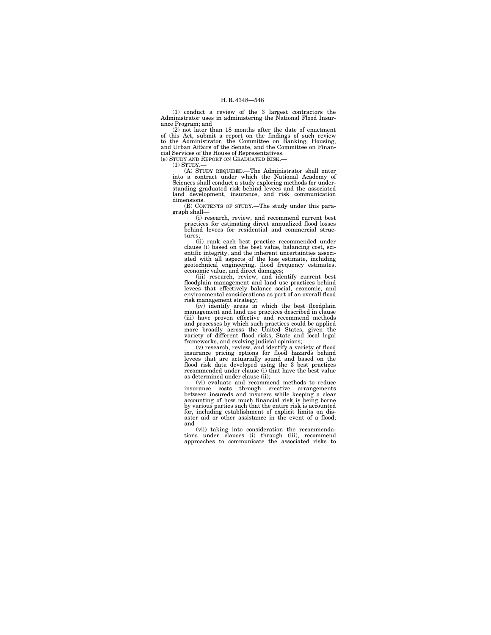(1) conduct a review of the 3 largest contractors the Administrator uses in administering the National Flood Insurance Program; and

(2) not later than 18 months after the date of enactment of this Act, submit a report on the findings of such review to the Administrator, the Committee on Banking, Housing, and Urban Affairs of the Senate, and the Committee on Financial Services of the House of Representatives. (e) STUDY AND REPORT ON GRADUATED RISK.—

 $(1)$  STUDY.

(A) STUDY REQUIRED.—The Administrator shall enter into a contract under which the National Academy of Sciences shall conduct a study exploring methods for understanding graduated risk behind levees and the associated land development, insurance, and risk communication dimensions.

(B) CONTENTS OF STUDY.—The study under this paragraph shall—

(i) research, review, and recommend current best practices for estimating direct annualized flood losses behind levees for residential and commercial structures;

(ii) rank each best practice recommended under clause (i) based on the best value, balancing cost, scientific integrity, and the inherent uncertainties associated with all aspects of the loss estimate, including geotechnical engineering, flood frequency estimates,

economic value, and direct damages; (iii) research, review, and identify current best floodplain management and land use practices behind levees that effectively balance social, economic, and environmental considerations as part of an overall flood

risk management strategy; (iv) identify areas in which the best floodplain management and land use practices described in clause (iii) have proven effective and recommend methods and processes by which such practices could be applied more broadly across the United States, given the variety of different flood risks, State and local legal frameworks, and evolving judicial opinions;

(v) research, review, and identify a variety of flood insurance pricing options for flood hazards behind levees that are actuarially sound and based on the flood risk data developed using the 3 best practices recommended under clause (i) that have the best value as determined under clause (ii);

(vi) evaluate and recommend methods to reduce insurance costs through creative arrangements between insureds and insurers while keeping a clear accounting of how much financial risk is being borne by various parties such that the entire risk is accounted for, including establishment of explicit limits on disaster aid or other assistance in the event of a flood: and

(vii) taking into consideration the recommenda-tions under clauses (i) through (iii), recommend approaches to communicate the associated risks to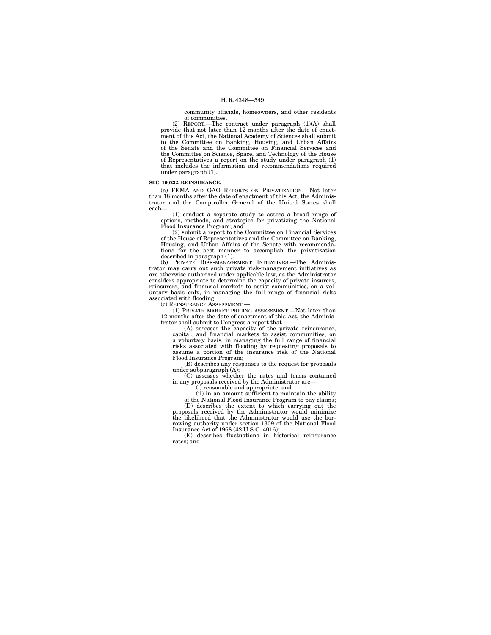community officials, homeowners, and other residents of communities.

(2) REPORT.—The contract under paragraph (1)(A) shall provide that not later than 12 months after the date of enactment of this Act, the National Academy of Sciences shall submit to the Committee on Banking, Housing, and Urban Affairs of the Senate and the Committee on Financial Services and the Committee on Science, Space, and Technology of the House of Representatives a report on the study under paragraph (1) that includes the information and recommendations required under paragraph (1).

#### **SEC. 100232. REINSURANCE.**

(a) FEMA AND GAO REPORTS ON PRIVATIZATION.—Not later than 18 months after the date of enactment of this Act, the Administrator and the Comptroller General of the United States shall each—

(1) conduct a separate study to assess a broad range of options, methods, and strategies for privatizing the National Flood Insurance Program; and

(2) submit a report to the Committee on Financial Services of the House of Representatives and the Committee on Banking, Housing, and Urban Affairs of the Senate with recommendations for the best manner to accomplish the privatization described in paragraph (1).

(b) PRIVATE RISK-MANAGEMENT INITIATIVES.—The Administrator may carry out such private risk-management initiatives as are otherwise authorized under applicable law, as the Administrator considers appropriate to determine the capacity of private insurers, reinsurers, and financial markets to assist communities, on a voluntary basis only, in managing the full range of financial risks associated with flooding.

(c) REINSURANCE ASSESSMENT.—

(1) PRIVATE MARKET PRICING ASSESSMENT.—Not later than 12 months after the date of enactment of this Act, the Adminis-

trator shall submit to Congress a report that— (A) assesses the capacity of the private reinsurance, capital, and financial markets to assist communities, on a voluntary basis, in managing the full range of financial risks associated with flooding by requesting proposals to assume a portion of the insurance risk of the National Flood Insurance Program;

(B) describes any responses to the request for proposals under subparagraph (A);

(C) assesses whether the rates and terms contained in any proposals received by the Administrator are—

(i) reasonable and appropriate; and

(ii) in an amount sufficient to maintain the ability

of the National Flood Insurance Program to pay claims; (D) describes the extent to which carrying out the

proposals received by the Administrator would minimize the likelihood that the Administrator would use the borrowing authority under section 1309 of the National Flood Insurance Act of 1968 (42 U.S.C. 4016);

(E) describes fluctuations in historical reinsurance rates; and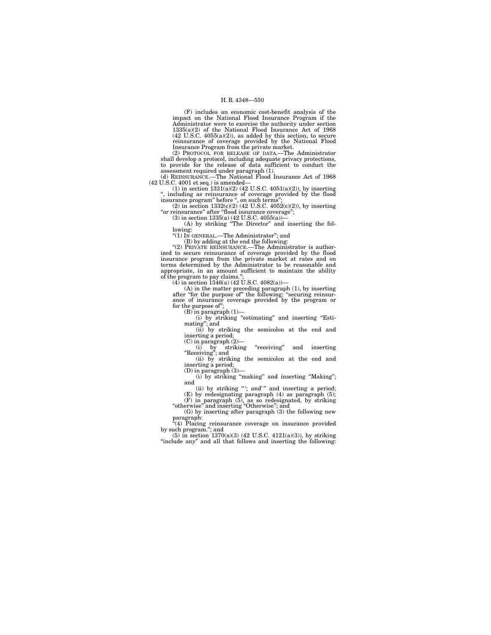(F) includes an economic cost-benefit analysis of the impact on the National Flood Insurance Program if the Administrator were to exercise the authority under section 1335(a)(2) of the National Flood Insurance Act of 1968 (42 U.S.C. 4055(a)(2)), as added by this section, to secure

reinsurance of coverage provided by the National Flood<br>Insurance Program from the private market.<br>(2) PROTOCOL FOR RELEASE OF DATA.—The Administrator<br>shall develop a protocol, including adequate privacy protections,<br>to pro

 $(42 \text{ U.S.C. } 4001 \text{ et seq.})$  is amended—<br>(1) in section 1331(a)(2) (42 U.S.C. 4051(a)(2)), by inserting

'', including as reinsurance of coverage provided by the flood insurance program'' before '', on such terms''; (2) in section 1332(c)(2) (42 U.S.C. 4052(c)(2)), by inserting

''or reinsurance'' after ''flood insurance coverage'';

(3) in section 1335(a) (42 U.S.C. 4055(a)—<br>(A) by striking "The Director" and inserting the following:<br>"(1) In GENERAL.—The Administrator"; and

(B) by adding at the end the following:

"(2) PRIVATE REINSURANCE.—The Administrator is authorized to secure reinsurance of coverage provided by the flood insurance program from the private market at rates and on terms determined by the Administrator to be reasonable and appropriate, in an amount sufficient to maintain the ability of the program to pay claims.''; (4) in section 1346(a) (42 U.S.C. 4082(a))—

(A) in the matter preceding paragraph (1), by inserting after ''for the purpose of'' the following: ''securing reinsurance of insurance coverage provided by the program or for the purpose of'';

(B) in paragraph (1)—

(i) by striking ''estimating'' and inserting ''Esti-mating''; and (ii) by striking the semicolon at the end and

inserting a period; (C) in paragraph (2)—

(i) by striking "receiving" and inserting (ii) by striking the semicolon at the end and (iii) by striking the semicolon at the end and inserting a period;

 $(D)$  in paragraph  $(3)$ 

(i) by striking ''making'' and inserting ''Making'';

and<br>
(i) by striking "; and" and inserting a period;<br>
(E) by redesignating paragraph (4) as paragraph (5);<br>
(F) in paragraph (5), as so redesignated, by striking<br>
"otherwise" and inserting "Otherwise"; and<br>
(G) by inserti

paragraph:<br>"(4) Placing reinsurance coverage on insurance provided

by such program."; and<br>
(5) in section  $1370(a)(3)$  (42 U.S.C. 4121(a)(3)), by striking

"include any" and all that follows and inserting the following: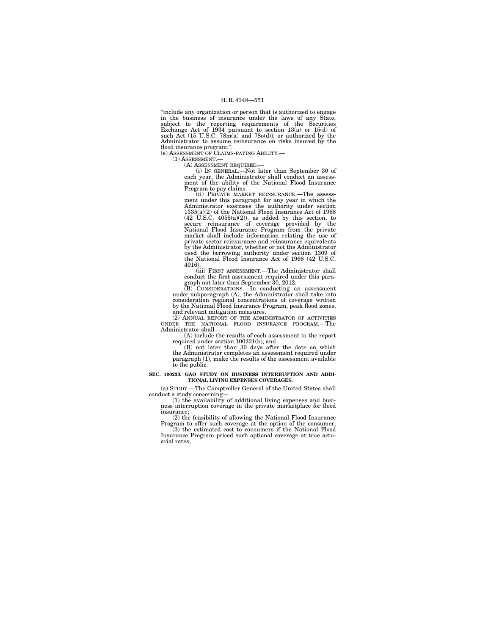''include any organization or person that is authorized to engage in the business of insurance under the laws of any State, subject to the reporting requirements of the Securities Exchange Act of 1934 pursuant to section 13(a) or 15(d) of such Act (15 U.S.C. 78m(a) and 78o(d)), or authorized by the Administrator to assume reinsurance on risks insured by the flood insurance program;''.

(e) ASSESSMENT OF CLAIMS-PAYING ABILITY.—

(1) ASSESSMENT.— (A) ASSESSMENT REQUIRED.—

(i) IN GENERAL.—Not later than September 30 of each year, the Administrator shall conduct an assessment of the ability of the National Flood Insurance Program to pay claims.

(ii) PRIVATE MARKET REINSURANCE.—The assessment under this paragraph for any year in which the Administrator exercises the authority under section 1335(a)(2) of the National Flood Insurance Act of 1968 (42 U.S.C. 4055(a)(2)), as added by this section, to secure reinsurance of coverage provided by the National Flood Insurance Program from the private market shall include information relating the use of private sector reinsurance and reinsurance equivalents by the Administrator, whether or not the Administrator used the borrowing authority under section 1309 of the National Flood Insurance Act of 1968 (42 U.S.C. 4016).

(iii) FIRST ASSESSMENT.—The Administrator shall

conduct the first assessment required under this para-<br>graph not later than September 30, 2012.<br>(B) CONSIDERATIONS.—In conducting an assessment<br>under subparagraph (A), the Administrator shall take into consideration regional concentrations of coverage written by the National Flood Insurance Program, peak flood zones,

and relevant mitigation measures. (2) ANNUAL REPORT OF THE ADMINISTRATOR OF ACTIVITIES UNDER THE NATIONAL FLOOD INSURANCE PROGRAM.—The Administrator shall—

(A) include the results of each assessment in the report required under section 100231(b); and

(B) not later than 30 days after the date on which the Administrator completes an assessment required under paragraph (1), make the results of the assessment available to the public.

#### **SEC. 100233. GAO STUDY ON BUSINESS INTERRUPTION AND ADDI-TIONAL LIVING EXPENSES COVERAGES.**

(a) STUDY.—The Comptroller General of the United States shall

conduct a study concerning— (1) the availability of additional living expenses and business interruption coverage in the private marketplace for flood insurance;

(2) the feasibility of allowing the National Flood Insurance Program to offer such coverage at the option of the consumer; (3) the estimated cost to consumers if the National Flood

Insurance Program priced such optional coverage at true actuarial rates;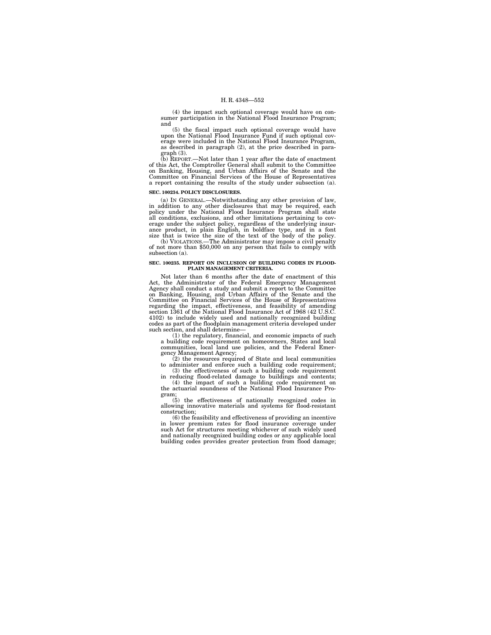(4) the impact such optional coverage would have on con-sumer participation in the National Flood Insurance Program; and

(5) the fiscal impact such optional coverage would have upon the National Flood Insurance Fund if such optional coverage were included in the National Flood Insurance Program, as described in paragraph (2), at the price described in para-

graph (3). (b) REPORT.—Not later than 1 year after the date of enactment of this Act, the Comptroller General shall submit to the Committee on Banking, Housing, and Urban Affairs of the Senate and the Committee on Financial Services of the House of Representatives a report containing the results of the study under subsection (a).

#### **SEC. 100234. POLICY DISCLOSURES.**

(a) IN GENERAL.—Notwithstanding any other provision of law, in addition to any other disclosures that may be required, each policy under the National Flood Insurance Program shall state all conditions, exclusions, and other limitations pertaining to coverage under the subject policy, regardless of the underlying insur-<br>ance product, in plain English, in boldface type, and in a font<br>size that is twice the

(b) VIOLATIONS.—The Administrator may impose a civil penalty of not more than \$50,000 on any person that fails to comply with subsection (a).

#### **SEC. 100235. REPORT ON INCLUSION OF BUILDING CODES IN FLOOD-PLAIN MANAGEMENT CRITERIA.**

Not later than 6 months after the date of enactment of this Act, the Administrator of the Federal Emergency Management Agency shall conduct a study and submit a report to the Committee on Banking, Housing, and Urban Affairs of the Senate and the Committee on Financial Services of the House of Representatives regarding the impact, effectiveness, and feasibility of amending section 1361 of the National Flood Insurance Act of 1968 (42 U.S.C. 4102) to include widely used and nationally recognized building codes as part of the floodplain management criteria developed under such section, and shall determine—

(1) the regulatory, financial, and economic impacts of such a building code requirement on homeowners, States and local communities, local land use policies, and the Federal Emer-

gency Management Agency;<br>
(2) the resources required of State and local communities<br>
to administer and enforce such a building code requirement;<br>
(3) the effectiveness of such a building code requirement<br>
in reducing flood gram;

(5) the effectiveness of nationally recognized codes in allowing innovative materials and systems for flood-resistant construction;

(6) the feasibility and effectiveness of providing an incentive in lower premium rates for flood insurance coverage under such Act for structures meeting whichever of such widely used and nationally recognized building codes or any applicable local building codes provides greater protection from flood damage;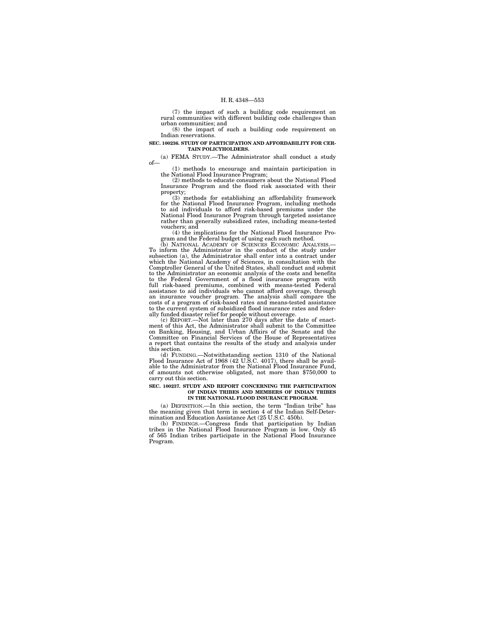(7) the impact of such a building code requirement on rural communities with different building code challenges than urban communities; and

(8) the impact of such a building code requirement on Indian reservations.

#### **SEC. 100236. STUDY OF PARTICIPATION AND AFFORDABILITY FOR CER-TAIN POLICYHOLDERS.**

(a) FEMA STUDY.—The Administrator shall conduct a study of—

(1) methods to encourage and maintain participation in the National Flood Insurance Program; (2) methods to educate consumers about the National Flood

Insurance Program and the flood risk associated with their property;

(3) methods for establishing an affordability framework for the National Flood Insurance Program, including methods to aid individuals to afford risk-based premiums under the National Flood Insurance Program through targeted assistance rather than generally subsidized rates, including means-tested vouchers; and

(4) the implications for the National Flood Insurance Program and the Federal budget of using each such method.<br>(b) NATIONAL ACADEMY OF SCIENCES ECONOMIC ANALYSIS.

To inform the Administrator in the conduct of the study under subsection (a), the Administrator shall enter into a contract under which the National Academy of Sciences, in consultation with the Comptroller General of the United States, shall conduct and submit to the Administrator an economic analysis of the costs and benefits to the Federal Government of a flood insurance program with full risk-based premiums, combined with means-tested Federal assistance to aid individuals who cannot afford coverage, through an insurance voucher program. The analysis shall compare the costs of a program of risk-based r to the current system of subsidized flood insurance rates and feder-

ally funded disaster relief for people without coverage. (c) REPORT.—Not later than 270 days after the date of enact-ment of this Act, the Administrator shall submit to the Committee on Banking, Housing, and Urban Affairs of the Senate and the Committee on Financial Services of the House of Representatives a report that contains the results of the study and analysis under this section.

(d) FUNDING.—Notwithstanding section 1310 of the National Flood Insurance Act of 1968 (42 U.S.C. 4017), there shall be avail-able to the Administrator from the National Flood Insurance Fund, of amounts not otherwise obligated, not more than \$750,000 to carry out this section.

#### **SEC. 100237. STUDY AND REPORT CONCERNING THE PARTICIPATION OF INDIAN TRIBES AND MEMBERS OF INDIAN TRIBES IN THE NATIONAL FLOOD INSURANCE PROGRAM.**

(a) DEFINITION.—In this section, the term ''Indian tribe'' has the meaning given that term in section 4 of the Indian Self-Deter-mination and Education Assistance Act (25 U.S.C. 450b).

(b) FINDINGS.—Congress finds that participation by Indian tribes in the National Flood Insurance Program is low. Only 45 of 565 Indian tribes participate in the National Flood Insurance Program.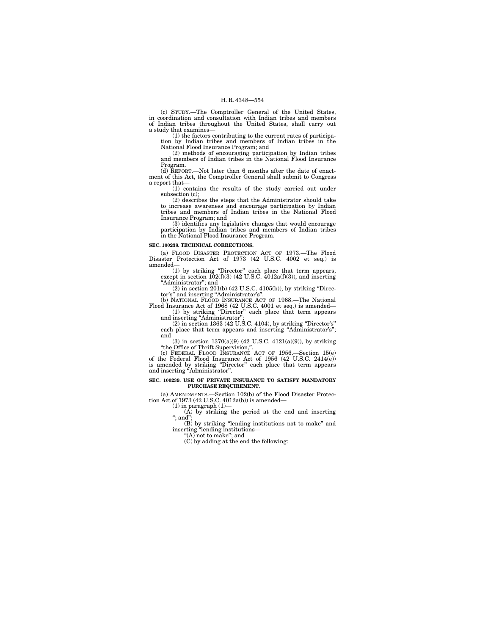(c) STUDY.—The Comptroller General of the United States, in coordination and consultation with Indian tribes and members of Indian tribes throughout the United States, shall carry out a study that examines—

(1) the factors contributing to the current rates of participation by Indian tribes and members of Indian tribes in the National Flood Insurance Program; and

(2) methods of encouraging participation by Indian tribes and members of Indian tribes in the National Flood Insurance Program. (d) REPORT.—Not later than 6 months after the date of enact-

ment of this Act, the Comptroller General shall submit to Congress a report that—

(1) contains the results of the study carried out under subsection (c); (2) describes the steps that the Administrator should take

to increase awareness and encourage participation by Indian tribes and members of Indian tribes in the National Flood Insurance Program; and

(3) identifies any legislative changes that would encourage participation by Indian tribes and members of Indian tribes in the National Flood Insurance Program.

#### **SEC. 100238. TECHNICAL CORRECTIONS.**

(a) FLOOD DISASTER PROTECTION ACT OF 1973.—The Flood Disaster Protection Act of 1973 (42 U.S.C. 4002 et seq.) is amended—

(1) by striking "Director" each place that term appears, except in section  $102(f)(3)$  (42 U.S.C.  $4012a(f)(3)$ ), and inserting ''Administrator''; and

(2) in section  $201(b)$  (42 U.S.C. 4105(b)), by striking "Direc-

tor's" and inserting "Administrator's".<br>
(b) NATIONAL FLOOD INSURANCE ACT OF 1968.—The National<br>
Flood Insurance Act of 1968 (42 U.S.C. 4001 et seq.) is amended—<br>
(1) by striking "Director" each place that term appears

and inserting "Administrator" (2) in section 1363 (42 U.S.C. 4104), by striking ''Director's''

each place that term appears and inserting "Administrator's"; and (3) in section  $1370(a)(9)$  (42 U.S.C.  $4121(a)(9)$ ), by striking

"the Office of Thrift Supervision,".<br>
(c) FEDERAL FLOOD INSURANCE ACT OF 1956.—Section 15(e)<br>
of the Federal Flood Insurance Act of 1956 (42 U.S.C. 2414(e))<br>
is amended by striking "Director" each place that term appears<br>

# **SEC. 100239. USE OF PRIVATE INSURANCE TO SATISFY MANDATORY PURCHASE REQUIREMENT.**

(a) AMENDMENTS.—Section 102(b) of the Flood Disaster Protection Act of 1973 (42 U.S.C.  $4012a(b)$ ) is amended—

(1) in paragraph (1)— (A) by striking the period at the end and inserting "; and";

(B) by striking ''lending institutions not to make'' and inserting "lending institutions—<br>"(A) not to make"; and

(C) by adding at the end the following: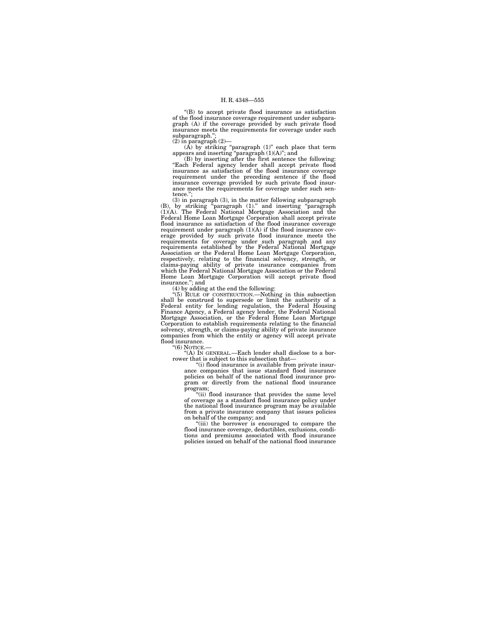''(B) to accept private flood insurance as satisfaction of the flood insurance coverage requirement under subparagraph (A) if the coverage provided by such private flood insurance meets the requirements for coverage under such subparagraph.'';

(2) in paragraph (2)— (A) by striking ''paragraph (1)'' each place that term appears and inserting "paragraph  $(1)(A)$ "; and  $(B)$  by inserting after the first sentence the following:

''Each Federal agency lender shall accept private flood insurance as satisfaction of the flood insurance coverage requirement under the preceding sentence if the flood insurance coverage provided by such private flood insurance meets the requirements for coverage under such sentence.

(3) in paragraph (3), in the matter following subparagraph (B), by striking ''paragraph (1).'' and inserting ''paragraph (1)(A). The Federal National Mortgage Association and the Federal Home Loan Mortgage Corporation shall accept private flood insurance as satisfaction of the flood insurance coverage requirement under paragraph (1)(A) if the flood insurance coverage provided by such private flood insurance meets the requirements for coverage under such paragraph and any requirements established by the Federal National respectively, relating to the financial solvency, strength, or claims-paying ability of private insurance companies from which the Federal National Mortgage Association or the Federal Home Loan Mortgage Corporation will accept private flood insurance.''; and

(4) by adding at the end the following:

"(5) RULE OF CONSTRUCTION.—Nothing in this subsection<br>shall be construed to supersede or limit the authority of a<br>Federal entity for lending regulation, the Federal Housing<br>Finance Agency, a Federal agency lender, the Fede Mortgage Association, or the Federal Home Loan Mortgage Corporation to establish requirements relating to the financial solvency, strength, or claims-paying ability of private insurance companies from which the entity or agency will accept private flood insurance.

"(6) NOTICE.

''(A) IN GENERAL.—Each lender shall disclose to a borrower that is subject to this subsection that—<br>"(i) flood insurance is available from private insur-

ance companies that issue standard flood insurance policies on behalf of the national flood insurance program or directly from the national flood insurance program;

''(ii) flood insurance that provides the same level of coverage as a standard flood insurance policy under the national flood insurance program may be available from a private insurance company that issues policies on behalf of the company; and

''(iii) the borrower is encouraged to compare the flood insurance coverage, deductibles, exclusions, conditions and premiums associated with flood insurance policies issued on behalf of the national flood insurance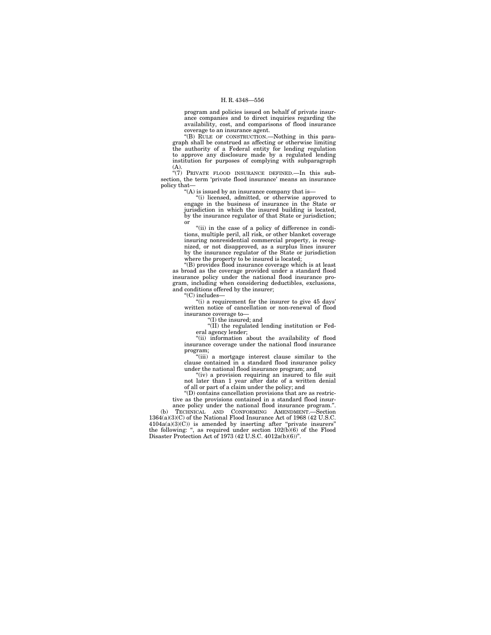program and policies issued on behalf of private insurance companies and to direct inquiries regarding the availability, cost, and comparisons of flood insurance coverage to an insurance agent.

''(B) RULE OF CONSTRUCTION.—Nothing in this paragraph shall be construed as affecting or otherwise limiting the authority of a Federal entity for lending regulation to approve any disclosure made by a regulated lending institution for purposes of complying with subparagraph (A).

''(7) PRIVATE FLOOD INSURANCE DEFINED.—In this subsection, the term 'private flood insurance' means an insurance policy that—

''(A) is issued by an insurance company that is—

''(i) licensed, admitted, or otherwise approved to engage in the business of insurance in the State or jurisdiction in which the insured building is located, by the insurance regulator of that State or jurisdiction; or

"(ii) in the case of a policy of difference in conditions, multiple peril, all risk, or other blanket coverage insuring nonresidential commercial property, is recognized, or not disapproved, as a surplus lines insurer by the insurance regulator of the State or jurisdiction where the property to be insured is located; ''(B) provides flood insurance coverage which is at least

as broad as the coverage provided under a standard flood insurance policy under the national flood insurance program, including when considering deductibles, exclusions, and conditions offered by the insurer;

''(C) includes—

"(i) a requirement for the insurer to give 45 days' written notice of cancellation or non-renewal of flood insurance coverage to—

''(I) the insured; and

''(II) the regulated lending institution or Federal agency lender;

''(ii) information about the availability of flood insurance coverage under the national flood insurance program;

''(iii) a mortgage interest clause similar to the clause contained in a standard flood insurance policy under the national flood insurance program; and

" $(iv)$  a provision requiring an insured to file suit not later than 1 year after date of a written denial of all or part of a claim under the policy; and

''(D) contains cancellation provisions that are as restrictive as the provisions contained in a standard flood insur-

ance policy under the national flood insurance program.''. (b) TECHNICAL AND CONFORMING AMENDMENT.—Section 1364(a)(3)(C) of the National Flood Insurance Act of 1968 (42 U.S.C.

 $4104a(a)(3)(C)$  is amended by inserting after "private insurers" the following: ", as required under section  $102(b)(6)$  of the Flood Disaster Protection Act of 1973 (42 U.S.C. 4012a(b)(6))''.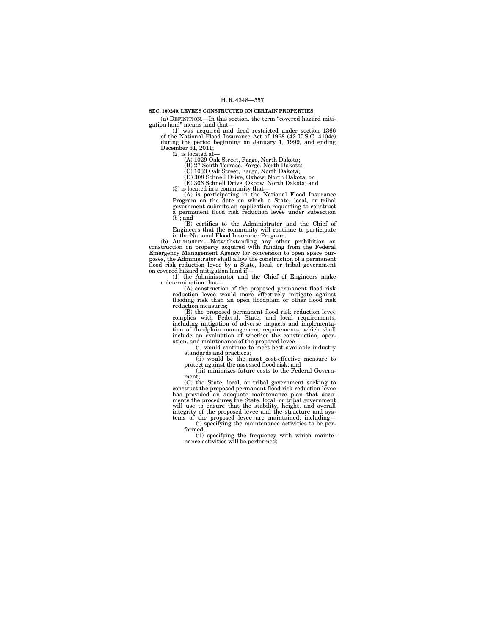#### **SEC. 100240. LEVEES CONSTRUCTED ON CERTAIN PROPERTIES.**

(a) DEFINITION.—In this section, the term ''covered hazard mitigation land'' means land that—

(1) was acquired and deed restricted under section 1366 of the National Flood Insurance Act of 1968 (42 U.S.C. 4104c) during the period beginning on January 1, 1999, and ending December 31, 2011;

 $(2)$  is located at-

(A) 1029 Oak Street, Fargo, North Dakota; (B) 27 South Terrace, Fargo, North Dakota; (C) 1033 Oak Street, Fargo, North Dakota;

(D) 308 Schnell Drive, Oxbow, North Dakota; or

(E) 306 Schnell Drive, Oxbow, North Dakota; and (3) is located in a community that—

(A) is participating in the National Flood Insurance Program on the date on which a State, local, or tribal government submits an application requesting to construct a permanent flood risk reduction levee under subsection  $(b)$ ; and

(B) certifies to the Administrator and the Chief of Engineers that the community will continue to participate in the National Flood Insurance Program.

(b) AUTHORITY.—Notwithstanding any other prohibition on construction on property acquired with funding from the Federal Emergency Management Agency for conversion to open space pur-<br>poses, the Administrator shall allow the construction of a permanent<br>flood risk reduction levee on covered hazard mitigation land if—

(1) the Administrator and the Chief of Engineers make a determination that—

(A) construction of the proposed permanent flood risk reduction levee would more effectively mitigate against flooding risk than an open floodplain or other flood risk reduction measures;

(B) the proposed permanent flood risk reduction levee complies with Federal, State, and local requirements, including mitigation of adverse impacts and implementation of floodplain management requirements, which shall include an evaluation of whether the construction, oper-ation, and maintenance of the proposed levee—

(i) would continue to meet best available industry standards and practices; (ii) would be the most cost-effective measure to

protect against the assessed flood risk; and (iii) minimizes future costs to the Federal Government;

(C) the State, local, or tribal government seeking to construct the proposed permanent flood risk reduction levee has provided an adequate maintenance plan that docu-ments the procedures the State, local, or tribal government will use to ensure that the stability, height, and overall<br>integrity of the proposed levee and the structure and sys-<br>tems of the proposed levee are maintained, including—<br>(i) specifying the maintenance activities to be pe

formed;

(ii) specifying the frequency with which maintenance activities will be performed;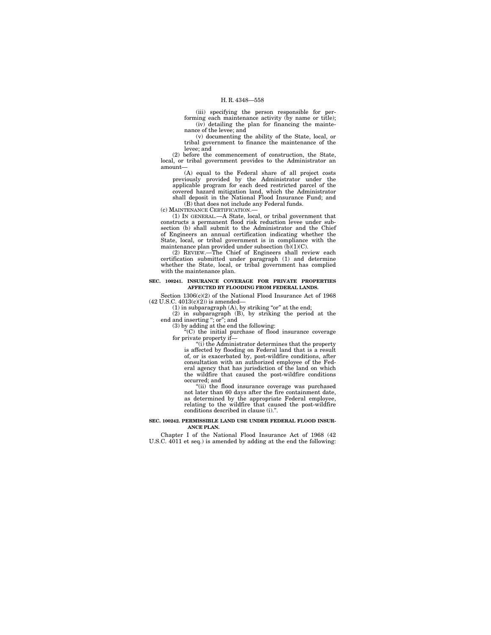(iii) specifying the person responsible for performing each maintenance activity (by name or title); (iv) detailing the plan for financing the maintenance of the levee; and

(v) documenting the ability of the State, local, or tribal government to finance the maintenance of the levee; and

(2) before the commencement of construction, the State, local, or tribal government provides to the Administrator an amount-

(A) equal to the Federal share of all project costs previously provided by the Administrator under the applicable program for each deed restricted parcel of the covered hazard mitigation land, which the Administrator shall deposit in the National Flood Insurance Fund; and (B) that does not include any Federal funds.

(c) MAINTENANCE CERTIFICATION.—

(1) IN GENERAL.—A State, local, or tribal government that constructs a permanent flood risk reduction levee under subsection (b) shall submit to the Administrator and the Chief of Engineers an annual certification indicating whether the State, local, or tribal government is in compliance with the maintenance plan provided under subsection (b)(1)(C).

(2) REVIEW.—The Chief of Engineers shall review each certification submitted under paragraph (1) and determine whether the State, local, or tribal government has complied with the maintenance plan.

#### **SEC. 100241. INSURANCE COVERAGE FOR PRIVATE PROPERTIES AFFECTED BY FLOODING FROM FEDERAL LANDS.**

Section 1306(c)(2) of the National Flood Insurance Act of 1968

(42 U.S.C. 4013(c)(2)) is amended—<br>
(1) in subparagraph (A), by striking "or" at the end;<br>
(2) in subparagraph (B), by striking the period at the<br>
end and inserting "; or"; and

(3) by adding at the end the following: ''(C) the initial purchase of flood insurance coverage for private property if—

''(i) the Administrator determines that the property is affected by flooding on Federal land that is a result of, or is exacerbated by, post-wildfire conditions, after consultation with an authorized employee of the Federal agency that has jurisdiction of the land on which the wildfire that caused the post-wildfire conditions occurred; and

"(ii) the flood insurance coverage was purchased not later than 60 days after the fire containment date, as determined by the appropriate Federal employee, relating to the wildfire that caused the post-wildfire conditions described in clause (i).''.

#### **SEC. 100242. PERMISSIBLE LAND USE UNDER FEDERAL FLOOD INSUR-ANCE PLAN.**

Chapter I of the National Flood Insurance Act of 1968 (42 U.S.C. 4011 et seq.) is amended by adding at the end the following: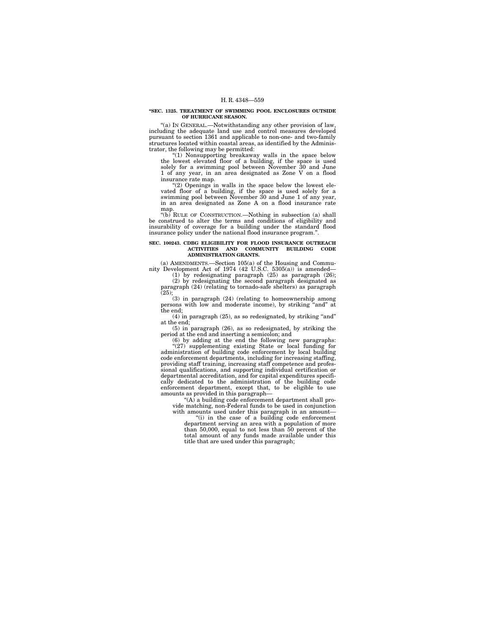#### **''SEC. 1325. TREATMENT OF SWIMMING POOL ENCLOSURES OUTSIDE OF HURRICANE SEASON.**

''(a) IN GENERAL.—Notwithstanding any other provision of law, including the adequate land use and control measures developed pursuant to section 1361 and applicable to non-one- and two-family structures located within coastal areas, as identified by the Administrator, the following may be permitted:<br>
"(1) Nonsupporting breakaway walls in the space below

the lowest elevated floor of a building, if the space is used solely for a swimming pool between November 30 and June 1 of any year, in an area designated as Zone V on a flood insurance rate map.

"(2) Openings in walls in the space below the lowest elevated floor of a building, if the space is used solely for a swimming pool between November 30 and June 1 of any year, in an area designated as Zone A on a flood insurance rate map.

"(b) RULE OF CONSTRUCTION.—Nothing in subsection (a) shall be construed to alter the terms and conditions of eligibility and insurability of coverage for a building under the standard flood insurance policy under the national flood insurance program.''.

# **SEC. 100243. CDBG ELIGIBILITY FOR FLOOD INSURANCE OUTREACH ACTIVITIES AND COMMUNITY BUILDING CODE ADMINISTRATION GRANTS.**

(a) AMENDMENTS.—Section 105(a) of the Housing and Community Development Act of 1974 (42 U.S.C. 5305(a)) is amended—

(1) by redesignating paragraph (25) as paragraph (26); (2) by redesignating the second paragraph designated as paragraph (24) (relating to tornado-safe shelters) as paragraph

(25); (3) in paragraph (24) (relating to homeownership among persons with low and moderate income), by striking ''and'' at the end;

 $(4)$  in paragraph  $(25)$ , as so redesignated, by striking "and" at the end;

(5) in paragraph (26), as so redesignated, by striking the period at the end and inserting a semicolon; and

(6) by adding at the end the following new paragraphs:  $(27)$  supplementing existing State or local funding for administration of building code enforcement by local building code enforcement departments, including for increasing staffing, providing staff training, increasing staff competence and professional qualifications, and supporting individual certification or departmental accreditation, and for capital expenditures specifi-cally dedicated to the administration of the building code enforcement department, except that, to be eligible to use amounts as provided in this paragraph—

"(A) a building code enforcement department shall provide matching, non-Federal funds to be used in conjunction

with amounts used under this paragraph in an amount—<br>"(i) in the case of a building code enforcement department serving an area with a population of more than 50,000, equal to not less than 50 percent of the total amount of any funds made available under this title that are used under this paragraph;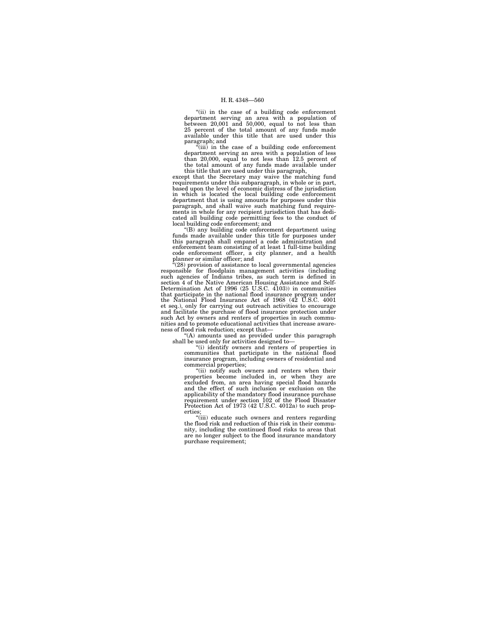''(ii) in the case of a building code enforcement department serving an area with a population of between 20,001 and 50,000, equal to not less than 25 percent of the total amount of any funds made available under this title that are used under this

paragraph; and<br>"(iii) in the case of a building code enforcement department serving an area with a population of less than 20,000, equal to not less than 12.5 percent of the total amount of any funds made available under this title that are used under this paragraph,

except that the Secretary may waive the matching fund requirements under this subparagraph, in whole or in part, based upon the level of economic distress of the jurisdiction in which is located the local building code enforcement department that is using amounts for purposes under this paragraph, and shall waive such matching fund requirements in whole for any recipient jurisdiction that has dedicated all building code permitting fees to the conduct of local building code enforcement; and

''(B) any building code enforcement department using funds made available under this title for purposes under this paragraph shall empanel a code administration and enforcement team consisting of at least 1 full-time building code enforcement officer, a city planner, and a health

planner or similar officer; and ''(28) provision of assistance to local governmental agencies responsible for floodplain management activities (including<br>such agencies of Indians tribes, as such term is defined in<br>section 4 of the Native American Housing Assistance and Self-<br>Determination Act of 1996 (25 U.S.C. 410 the National Flood Insurance Act of 1968 (42 U.S.C. 4001 et seq.), only for carrying out outreach activities to encourage and facilitate the purchase of flood insurance protection under such Act by owners and renters of properties in such communities and to promote educational activities that increase awareness of flood risk reduction; except that—

''(A) amounts used as provided under this paragraph shall be used only for activities designed to—

''(i) identify owners and renters of properties in communities that participate in the national flood insurance program, including owners of residential and

commercial properties;<br>"(ii) notify such owners and renters when their properties become included in, or when they are excluded from, an area having special flood hazards and the effect of such inclusion or exclusion on the applicability of the mandatory flood insurance purchase requirement under section 102 of the Flood Disaster Protection Act of 1973 (42 U.S.C. 4012a) to such properties;

''(iii) educate such owners and renters regarding the flood risk and reduction of this risk in their community, including the continued flood risks to areas that are no longer subject to the flood insurance mandatory purchase requirement;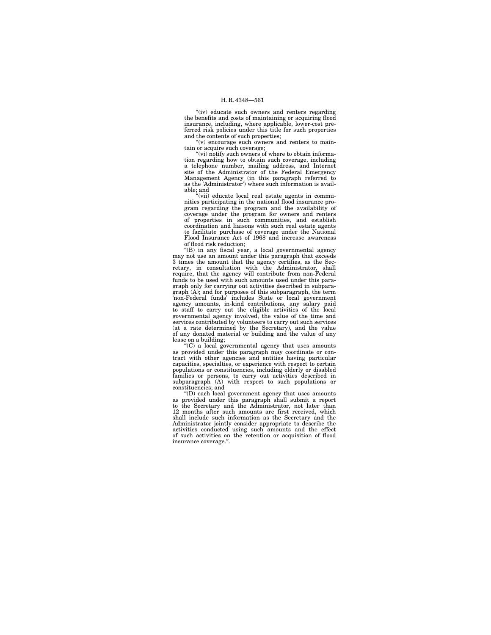"(iv) educate such owners and renters regarding the benefits and costs of maintaining or acquiring flood insurance, including, where applicable, lower-cost preferred risk policies under this title for such properties

and the contents of such properties;<br>"(v) encourage such owners and renters to maintain or acquire such coverage;

"(vi) notify such owners of where to obtain information regarding how to obtain such coverage, including a telephone number, mailing address, and Internet site of the Administrator of the Federal Emergency Management Agency (in this paragraph referred to as the 'Administrator') where such information is available; and

''(vii) educate local real estate agents in commu-nities participating in the national flood insurance program regarding the program and the availability of coverage under the program for owners and renters of properties in such communities, and establish coordination and liaisons with such real estate agents to facilitate purchase of coverage under the National Flood Insurance Act of 1968 and increase awareness of flood risk reduction;

 $f(B)$  in any fiscal year, a local governmental agency may not use an amount under this paragraph that exceeds 3 times the amount that the agency certifies, as the Secretary, in consultation with the Administrator, shall require, that the agency will contribute from non-Federal funds to be used with such amounts used under this paragraph only for carrying out activities described in subparagraph (A); and for purposes of this subparagraph, the term 'non-Federal funds' includes State or local government agency amounts, in-kind contributions, any salary paid to staff to carry out the eligible activities of the local governmental agency involved, the value of the time and services contributed by volunteers to carry out such services (at a rate determined by the Secretary), and the value of any donated material or building and the value of any lease on a building;

''(C) a local governmental agency that uses amounts as provided under this paragraph may coordinate or con-tract with other agencies and entities having particular capacities, specialties, or experience with respect to certain populations or constituencies, including elderly or disabled families or persons, to carry out activities described in subparagraph (A) with respect to such populations or constituencies; and

''(D) each local government agency that uses amounts as provided under this paragraph shall submit a report to the Secretary and the Administrator, not later than 12 months after such amounts are first received, which shall include such information as the Secretary and the Administrator jointly consider appropriate to describe the activities conducted using such amounts and the effect of such activities on the retention or acquisition of flood insurance coverage.''.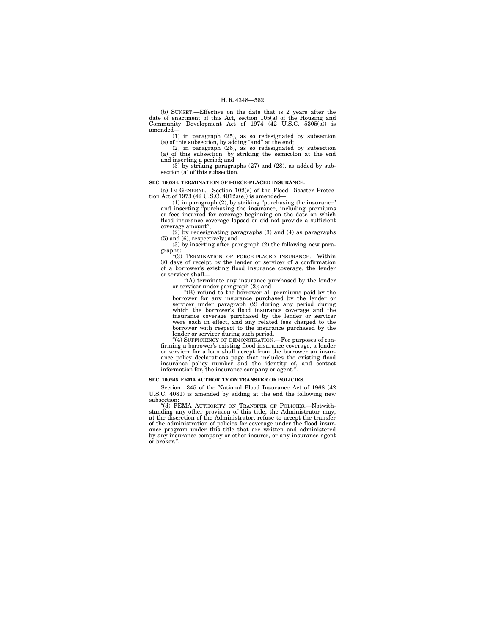(b) SUNSET.—Effective on the date that is 2 years after the date of enactment of this Act, section 105(a) of the Housing and Community Development Act of 1974 (42 U.S.C. 5305(a)) is amended—

(1) in paragraph (25), as so redesignated by subsection (a) of this subsection, by adding ''and'' at the end; (2) in paragraph (26), as so redesignated by subsection

(a) of this subsection, by striking the semicolon at the end and inserting a period; and

(3) by striking paragraphs (27) and (28), as added by sub-section (a) of this subsection.

#### **SEC. 100244. TERMINATION OF FORCE-PLACED INSURANCE.**

(a) IN GENERAL.—Section 102(e) of the Flood Disaster Protection Act of 1973 (42 U.S.C. 4012a(e)) is amended—

(1) in paragraph (2), by striking ''purchasing the insurance'' and inserting ''purchasing the insurance, including premiums or fees incurred for coverage beginning on the date on which flood insurance coverage lapsed or did not provide a sufficient coverage amount";<br>(2) by redesign

(2) by redesignating paragraphs (3) and (4) as paragraphs (5) and (6), respectively; and

(3) by inserting after paragraph (2) the following new paragraphs:

''(3) TERMINATION OF FORCE-PLACED INSURANCE.—Within 30 days of receipt by the lender or servicer of a confirmation of a borrower's existing flood insurance coverage, the lender or servicer shall—

''(A) terminate any insurance purchased by the lender

or servicer under paragraph (2); and ''(B) refund to the borrower all premiums paid by the borrower for any insurance purchased by the lender or servicer under paragraph (2) during any period during which the borrower's flood insurance coverage and the insurance coverage purchased by the lender or servicer were each in effect, and any related fees charged to the borrower with respect to the insurance purchased by the lender or servicer during such period.

''(4) SUFFICIENCY OF DEMONSTRATION.—For purposes of confirming a borrower's existing flood insurance coverage, a lender or servicer for a loan shall accept from the borrower an insurance policy declarations page that includes the existing flood insurance policy number and the identity of, and contact information for, the insurance company or agent.''.

#### **SEC. 100245. FEMA AUTHORITY ON TRANSFER OF POLICIES.**

Section 1345 of the National Flood Insurance Act of 1968 (42 U.S.C. 4081) is amended by adding at the end the following new subsection:

''(d) FEMA AUTHORITY ON TRANSFER OF POLICIES.—Notwith-standing any other provision of this title, the Administrator may, at the discretion of the Administrator, refuse to accept the transfer of the administration of policies for coverage under the flood insur-ance program under this title that are written and administered by any insurance company or other insurer, or any insurance agent or broker.''.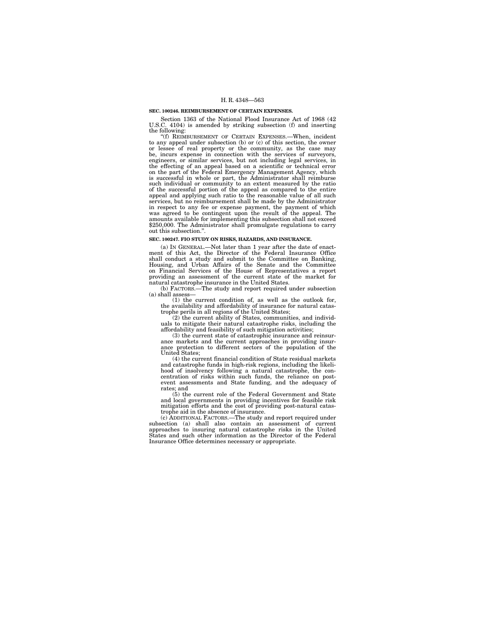#### **SEC. 100246. REIMBURSEMENT OF CERTAIN EXPENSES.**

Section 1363 of the National Flood Insurance Act of 1968 (42 U.S.C. 4104) is amended by striking subsection (f) and inserting the following:

''(f) REIMBURSEMENT OF CERTAIN EXPENSES.—When, incident to any appeal under subsection (b) or (c) of this section, the owner or lessee of real property or the community, as the case may be, incurs expense in connection with the services of surveyors, engineers, or similar services, but not including legal services, in the effecting of an appeal based on a scientific or technical error on the part of the Federal Emergency Management Agency, which is successful in whole or part, the Administrator shall reimburse such individual or community to an extent measured by the ratio of the successful portion of the appeal as compared to the entire appeal and applying such ratio to the reasonable value of all such services, but no reimbursement shall be made by the Administrator in respect to any fee or expense payment, the payment of which was agreed to be contingent upon the result of the appeal. The amounts available for implementing this subsection shall not exceed \$250,000. The Administrator shall promulgate regulations to carry out this subsection.''.

#### **SEC. 100247. FIO STUDY ON RISKS, HAZARDS, AND INSURANCE.**

(a) IN GENERAL.—Not later than 1 year after the date of enact-ment of this Act, the Director of the Federal Insurance Office shall conduct a study and submit to the Committee on Banking, Housing, and Urban Affairs of the Senate and the Committee on Financial Services of the House of Representatives a report providing an assessment of the current state of the market for natural catastrophe insurance in the United States.

(b) FACTORS.—The study and report required under subsection (a) shall assess—

(1) the current condition of, as well as the outlook for, the availability and affordability of insurance for natural catas-trophe perils in all regions of the United States;

(2) the current ability of States, communities, and individuals to mitigate their natural catastrophe risks, including the affordability and feasibility of such mitigation activities;

(3) the current state of catastrophic insurance and reinsurance markets and the current approaches in providing insurance protection to different sectors of the population of the United States;

(4) the current financial condition of State residual markets and catastrophe funds in high-risk regions, including the likelihood of insolvency following a natural catastrophe, the con-centration of risks within such funds, the reliance on postevent assessments and State funding, and the adequacy of rates; and

(5) the current role of the Federal Government and State and local governments in providing incentives for feasible risk mitigation efforts and the cost of providing post-natural catas-

trophe aid in the absence of insurance. (c) ADDITIONAL FACTORS.—The study and report required under subsection (a) shall also contain an assessment of current approaches to insuring natural catastrophe risks in the United States and such other information as the Director of the Federal Insurance Office determines necessary or appropriate.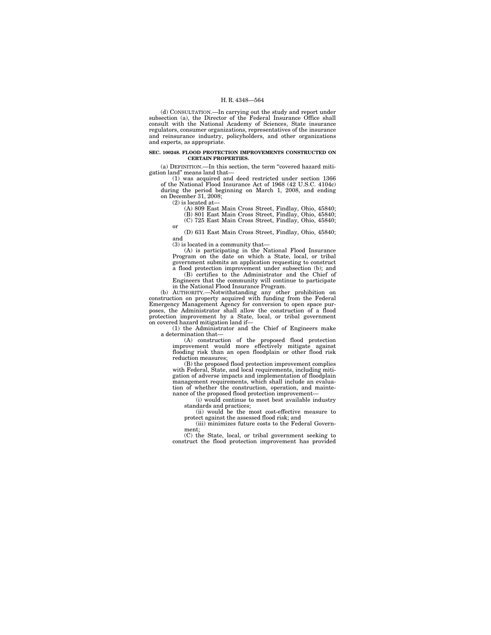(d) CONSULTATION.—In carrying out the study and report under subsection (a), the Director of the Federal Insurance Office shall consult with the National Academy of Sciences, State insurance regulators, consumer organizations, representatives of the insurance and reinsurance industry, policyholders, and other organizations and experts, as appropriate.

#### **SEC. 100248. FLOOD PROTECTION IMPROVEMENTS CONSTRUCTED ON CERTAIN PROPERTIES.**

(a) DEFINITION.—In this section, the term ''covered hazard mitigation land'' means land that—

(1) was acquired and deed restricted under section 1366 of the National Flood Insurance Act of 1968 (42 U.S.C. 4104c) during the period beginning on March 1, 2008, and ending on December 31, 2008;

(2) is located at—

or

(A) 809 East Main Cross Street, Findlay, Ohio, 45840; (B) 801 East Main Cross Street, Findlay, Ohio, 45840;

(C) 725 East Main Cross Street, Findlay, Ohio, 45840;

(D) 631 East Main Cross Street, Findlay, Ohio, 45840; and

(3) is located in a community that—

(A) is participating in the National Flood Insurance Program on the date on which a State, local, or tribal government submits an application requesting to construct a flood protection improvement under subsection (b); and

(B) certifies to the Administrator and the Chief of Engineers that the community will continue to participate

in the National Flood Insurance Program. (b) AUTHORITY.—Notwithstanding any other prohibition on construction on property acquired with funding from the Federal Emergency Management Agency for conversion to open space purposes, the Administrator shall allow the construction of a flood protection improvement by a State, local, or tribal government on covered hazard mitigation land if—

(1) the Administrator and the Chief of Engineers make a determination that—

(A) construction of the proposed flood protection improvement would more effectively mitigate against flooding risk than an open floodplain or other flood risk reduction measures;

(B) the proposed flood protection improvement complies with Federal, State, and local requirements, including mitigation of adverse impacts and implementation of floodplain management requirements, which shall include an evalua-tion of whether the construction, operation, and maintenance of the proposed flood protection improvement-

(i) would continue to meet best available industry standards and practices;

(ii) would be the most cost-effective measure to protect against the assessed flood risk; and

(iii) minimizes future costs to the Federal Government;

(C) the State, local, or tribal government seeking to construct the flood protection improvement has provided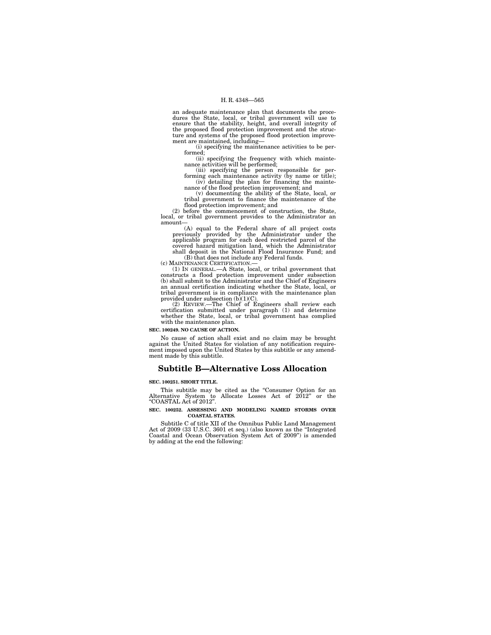an adequate maintenance plan that documents the proce-dures the State, local, or tribal government will use to ensure that the stability, height, and overall integrity of the proposed flood protection improvement and the struc-ture and systems of the proposed flood protection improvement are maintained, including—

(i) specifying the maintenance activities to be per-formed;

(ii) specifying the frequency with which maintenance activities will be performed;

(iii) specifying the person responsible for per-forming each maintenance activity (by name or title); (iv) detailing the plan for financing the mainte-nance of the flood protection improvement; and

(v) documenting the ability of the State, local, or tribal government to finance the maintenance of the

flood protection improvement; and (2) before the commencement of construction, the State, local, or tribal government provides to the Administrator an amount—

(A) equal to the Federal share of all project costs previously provided by the Administrator under the applicable program for each deed restricted parcel of the covered hazard mitigation land, which the Administrator shall deposit in the National Flood Insurance Fund; and

(B) that does not include any Federal funds.<br>(c) MAINTENANCE CERTIFICATION.—

(c) MAINTENANCE CERTIFICATION.— (1) IN GENERAL.—A State, local, or tribal government that constructs a flood protection improvement under subsection (b) shall submit to the Administrator and the Chief of Engineers an annual certification indicating whether the State, local, or tribal government is in compliance with the maintenance plan provided under subsection  $(b)(1)(C)$ .

(2) REVIEW.—The Chief of Engineers shall review each certification submitted under paragraph (1) and determine whether the State, local, or tribal government has complied with the maintenance plan.

## **SEC. 100249. NO CAUSE OF ACTION.**

No cause of action shall exist and no claim may be brought against the United States for violation of any notification require-ment imposed upon the United States by this subtitle or any amendment made by this subtitle.

## **Subtitle B—Alternative Loss Allocation**

#### **SEC. 100251. SHORT TITLE.**

This subtitle may be cited as the ''Consumer Option for an Alternative System to Allocate Losses Act of 2012" or the ''COASTAL Act of 2012''.

#### **SEC. 100252. ASSESSING AND MODELING NAMED STORMS OVER COASTAL STATES.**

Subtitle C of title XII of the Omnibus Public Land Management Act of 2009 (33 U.S.C. 3601 et seq.) (also known as the ''Integrated Coastal and Ocean Observation System Act of 2009'') is amended by adding at the end the following: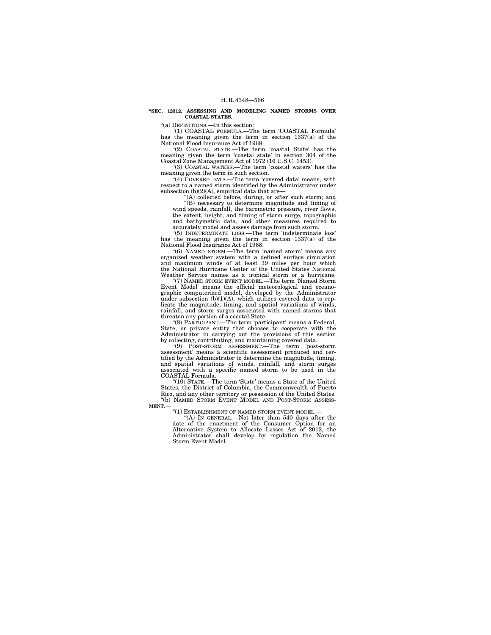#### **''SEC. 12312. ASSESSING AND MODELING NAMED STORMS OVER COASTAL STATES.**

''(a) DEFINITIONS.—In this section:

''(1) COASTAL FORMULA.—The term 'COASTAL Formula' has the meaning given the term in section 1337(a) of the National Flood Insurance Act of 1968.

''(2) COASTAL STATE.—The term 'coastal State' has the meaning given the term 'coastal state' in section 304 of the Coastal Zone Management Act of 1972 (16 U.S.C. 1453).

''(3) COASTAL WATERS.—The term 'coastal waters' has the meaning given the term in such section.

"(4) COVERED DATA.—The term 'covered data' means, with respect to a named storm identified by the Administrator under subsection  $(b)(2)(A)$ , empirical data that are-

 $\mathcal{L}(\mathbf{A})$  collected before, during, or after such storm; and ''(B) necessary to determine magnitude and timing of wind speeds, rainfall, the barometric pressure, river flows, the extent, height, and timing of storm surge, topographic and bathymetric data, and other measures required to accurately model and assess damage from such storm.

''(5) INDETERMINATE LOSS.—The term 'indeterminate loss' has the meaning given the term in section 1337(a) of the National Flood Insurance Act of 1968.

"(6) NAMED STORM.-The term 'named storm' means any organized weather system with a defined surface circulation and maximum winds of at least 39 miles per hour which the National Hurricane Center of the United States National Weather Service names as a tropical storm or a hurricane.

''(7) NAMED STORM EVENT MODEL.—The term 'Named Storm Event Model' means the official meteorological and oceanographic computerized model, developed by the Administrator under subsection (b)(1)(A), which utilizes covered data to replicate the magnitude, timing, and spatial variations of winds, rainfall, and storm surges associated with named storms that threaten any portion of a coastal State.

''(8) PARTICIPANT.—The term 'participant' means a Federal, State, or private entity that chooses to cooperate with the Administrator in carrying out the provisions of this section by collecting, contributing, and maintaining covered data.

''(9) POST-STORM ASSESSMENT.—The term 'post-storm assessment' means a scientific assessment produced and cer-tified by the Administrator to determine the magnitude, timing, and spatial variations of winds, rainfall, and storm surges associated with a specific named storm to be used in the

COASTAL Formula. ''(10) STATE.—The term 'State' means a State of the United States, the District of Columbia, the Commonwealth of Puerto Rico, and any other territory or possession of the United States. ''(b) NAMED STORM EVENT MODEL AND POST-STORM ASSESS-MENT.—

''(1) ESTABLISHMENT OF NAMED STORM EVENT MODEL.— ''(A) IN GENERAL.—Not later than 540 days after the date of the enactment of the Consumer Option for an Alternative System to Allocate Losses Act of 2012, the Administrator shall develop by regulation the Named Storm Event Model.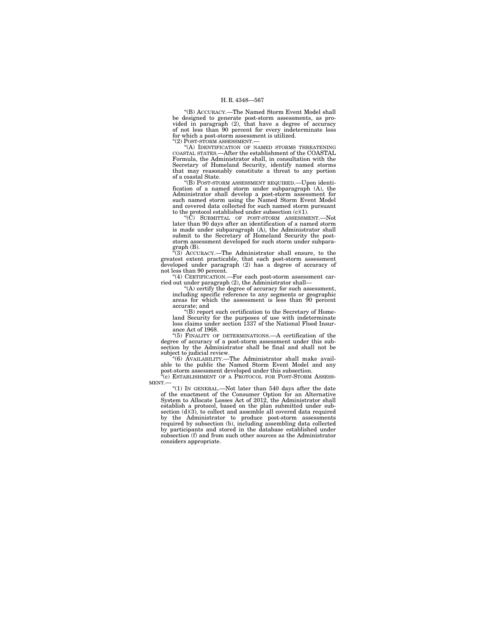''(B) ACCURACY.—The Named Storm Event Model shall be designed to generate post-storm assessments, as pro-vided in paragraph (2), that have a degree of accuracy of not less than 90 percent for every indeterminate loss for which a post-storm assessment is utilized.

''(2) POST-STORM ASSESSMENT.—

''(A) IDENTIFICATION OF NAMED STORMS THREATENING COASTAL STATES.—After the establishment of the COASTAL Formula, the Administrator shall, in consultation with the Secretary of Homeland Security, identify named storms that may reasonably constitute a threat to any portion of a coastal State.

''(B) POST-STORM ASSESSMENT REQUIRED.—Upon identification of a named storm under subparagraph (A), the Administrator shall develop a post-storm assessment for such named storm using the Named Storm Event Model and covered data collected for such named storm pursuant to the protocol established under subsection  $(c)(1)$ .

 $(C)$  SUBMITTAL OF POST-STORM ASSESSMENT. later than 90 days after an identification of a named storm is made under subparagraph (A), the Administrator shall submit to the Secretary of Homeland Security the poststorm assessment developed for such storm under subpara-

graph (B). ''(3) ACCURACY.—The Administrator shall ensure, to the greatest extent practicable, that each post-storm assessment developed under paragraph (2) has a degree of accuracy of not less than 90 percent.

''(4) CERTIFICATION.—For each post-storm assessment carried out under paragraph (2), the Administrator shall—

 $\mathcal{L}$ <sup>1</sup>(A) certify the degree of accuracy for such assessment, including specific reference to any segments or geographic areas for which the assessment is less than 90 percent accurate; and

 $\degree$ (B) report such certification to the Secretary of Homeland Security for the purposes of use with indeterminate loss claims under section 1337 of the National Flood Insurance Act of 1968.

''(5) FINALITY OF DETERMINATIONS.—A certification of the degree of accuracy of a post-storm assessment under this subsection by the Administrator shall be final and shall not be

subject to judicial review. ''(6) AVAILABILITY.—The Administrator shall make available to the public the Named Storm Event Model and any post-storm assessment developed under this subsection.

 $^{i}$ (c) ESTABLISHMENT OF A PROTOCOL FOR POST-STORM ASSESS-MENT.—

''(1) IN GENERAL.—Not later than 540 days after the date of the enactment of the Consumer Option for an Alternative System to Allocate Losses Act of 2012, the Administrator shall establish a protocol, based on the plan submitted under sub-section (d)(3), to collect and assemble all covered data required by the Administrator to produce post-storm assessments required by subsection (b), including assembling data collected by participants and stored in the database established under subsection (f) and from such other sources as the Administrator considers appropriate.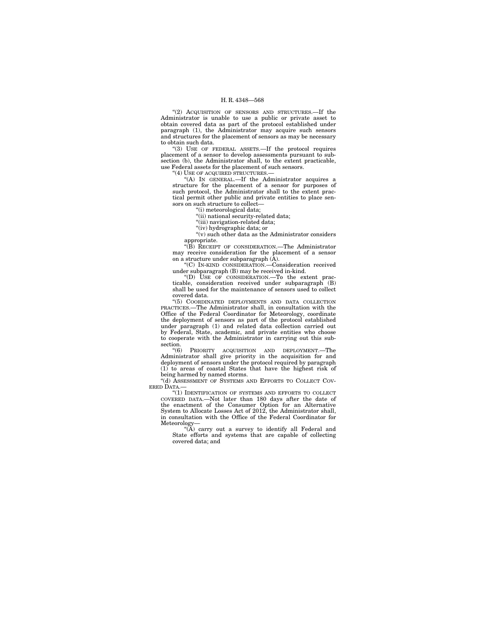"(2) ACQUISITION OF SENSORS AND STRUCTURES.—If the Administrator is unable to use a public or private asset to obtain covered data as part of the protocol established under paragraph (1), the Administrator may acquire such sensors and structures for the placement of sensors as may be necessary to obtain such data.

''(3) USE OF FEDERAL ASSETS.—If the protocol requires placement of a sensor to develop assessments pursuant to subsection (b), the Administrator shall, to the extent practicable, use Federal assets for the placement of such sensors.

"(4) USE OF ACQUIRED STRUCTURES.

''(A) IN GENERAL.—If the Administrator acquires a structure for the placement of a sensor for purposes of such protocol, the Administrator shall to the extent practical permit other public and private entities to place sensors on such structure to collect-

''(i) meteorological data;

"(ii) national security-related data;

''(iii) navigation-related data;

''(iv) hydrographic data; or

''(v) such other data as the Administrator considers appropriate.

''(B) RECEIPT OF CONSIDERATION.—The Administrator may receive consideration for the placement of a sensor on a structure under subparagraph (A).

''(C) IN-KIND CONSIDERATION.—Consideration received under subparagraph (B) may be received in-kind.

''(D) USE OF CONSIDERATION.—To the extent practicable, consideration received under subparagraph (B) shall be used for the maintenance of sensors used to collect covered data.

"(5) COORDINATED DEPLOYMENTS AND DATA COLLECTION<br>PRACTICES.—The Administrator shall, in consultation with the<br>Office of the Federal Coordinator for Meteorology, coordinate<br>the deployment of sensors as part of the protocol under paragraph (1) and related data collection carried out by Federal, State, academic, and private entities who choose to cooperate with the Administrator in carrying out this subsection.<br>" $(6)$ 

PRIORITY ACQUISITION AND DEPLOYMENT.—The Administrator shall give priority in the acquisition for and deployment of sensors under the protocol required by paragraph (1) to areas of coastal States that have the highest risk of being harmed by named storms.

"(d) ASSESSMENT OF SYSTEMS AND EFFORTS TO COLLECT COV-ERED DATA.—

"(1) IDENTIFICATION OF SYSTEMS AND EFFORTS TO COLLECT COVERED DATA.—Not later than 180 days after the date of the enactment of the Consumer Option for an Alternative System to Allocate Losses Act of 2012, the Administrator shall, in consultation with the Office of the Federal Coordinator for Meteorology—

"(A) carry out a survey to identify all Federal and State efforts and systems that are capable of collecting covered data; and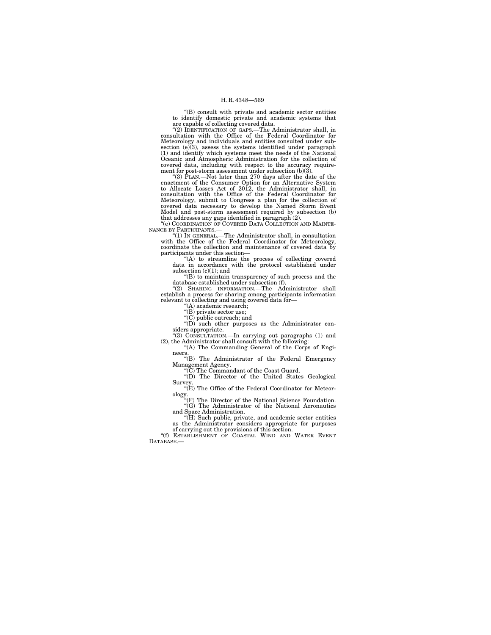''(B) consult with private and academic sector entities to identify domestic private and academic systems that are capable of collecting covered data.

''(2) IDENTIFICATION OF GAPS.—The Administrator shall, in consultation with the Office of the Federal Coordinator for Meteorology and individuals and entities consulted under subsection  $(e)(3)$ , assess the systems identified under paragraph (1) and identify which systems meet the needs of the National Oceanic and Atmospheric Administration for the collection of covered data, including with respect to the accuracy require-ment for post-storm assessment under subsection (b)(3). ''(3) PLAN.—Not later than 270 days after the date of the

enactment of the Consumer Option for an Alternative System to Allocate Losses Act of 2012, the Administrator shall, in consultation with the Office of the Federal Coordinator for Meteorology, submit to Congress a plan for the collection of covered data necessary to develop the Named Storm Event Model and post-storm assessment required by subsection (b) that addresses any gaps identified in paragraph (2). ''(e) COORDINATION OF COVERED DATA COLLECTION AND MAINTE-

NANCE BY PARTICIPANTS.—

''(1) IN GENERAL.—The Administrator shall, in consultation with the Office of the Federal Coordinator for Meteorology, coordinate the collection and maintenance of covered data by participants under this section—

''(A) to streamline the process of collecting covered data in accordance with the protocol established under subsection (c)(1); and

 $(0, 0)$  to maintain transparency of such process and the

database established under subsection (f).<br>
"(2) SHARING INFORMATION.—The Administrator shall<br>
establish a process for sharing among participants information<br>
relevant to collecting and using covered data for—<br>
"(A) acade

''(B) private sector use;

''(C) public outreach; and ''(D) such other purposes as the Administrator con-

siders appropriate. ''(3) CONSULTATION.—In carrying out paragraphs (1) and

(2), the Administrator shall consult with the following: ''(A) The Commanding General of the Corps of Engi-

neers.<br>
"(B) The Administrator of the Federal Emergency Management Agency. ''(C) The Commandant of the Coast Guard.

''(D) The Director of the United States Geological Survey.<br>"(E) The Office of the Federal Coordinator for Meteor-

ology.<br>
"(F) The Director of the National Science Foundation.<br>
"(G) The Administrator of the National Aeronautics

and Space Administration. ''(H) Such public, private, and academic sector entities as the Administrator considers appropriate for purposes

of carrying out the provisions of this section.<br>"(f) ESTABLISHMENT OF COASTAL WIND AND WATER EVENT DATABASE<sup>-</sup>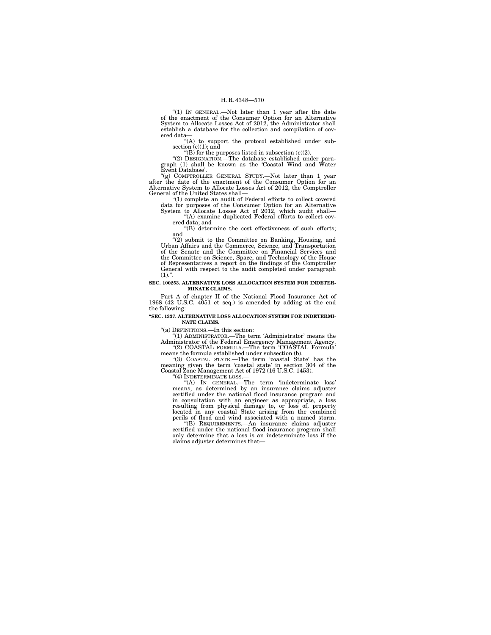"(1) IN GENERAL.—Not later than 1 year after the date of the enactment of the Consumer Option for an Alternative System to Allocate Losses Act of 2012, the Administrator shall establish a database for the collection and compilation of covered data—

''(A) to support the protocol established under subsection  $(c)(1)$ ; and <br>"(B) for the purposes listed in subsection  $(e)(2)$ .

''(2) DESIGNATION.—The database established under paragraph (1) shall be known as the 'Coastal Wind and Water Event Database'.

''(g) COMPTROLLER GENERAL STUDY.—Not later than 1 year after the date of the enactment of the Consumer Option for an Alternative System to Allocate Losses Act of 2012, the Comptroller General of the United States shall—

 $(1)$  complete an audit of Federal efforts to collect covered data for purposes of the Consumer Option for an Alternative System to Allocate Losses Act of 2012, which audit shall— ''(A) examine duplicated Federal efforts to collect cov-

ered data; and

"(B) determine the cost effectiveness of such efforts; and

''(2) submit to the Committee on Banking, Housing, and Urban Affairs and the Commerce, Science, and Transportation of the Senate and the Committee on Financial Services and the Committee on Science, Space, and Technology of the House of Representatives a report on the findings of the Comptroller General with respect to the audit completed under paragraph  $(1).$ ".

#### **SEC. 100253. ALTERNATIVE LOSS ALLOCATION SYSTEM FOR INDETER-MINATE CLAIMS.**

Part A of chapter II of the National Flood Insurance Act of 1968 (42 U.S.C. 4051 et seq.) is amended by adding at the end the following:

**''SEC. 1337. ALTERNATIVE LOSS ALLOCATION SYSTEM FOR INDETERMI-NATE CLAIMS.** 

''(a) DEFINITIONS.—In this section:

"(1) ADMINISTRATOR.—The term 'Administrator' means the Administrator of the Federal Emergency Management Agency.<br>
"(2) COASTAL FORMULA.—The term 'COASTAL Formula'<br>
means the formula established under subsection (b).

''(3) COASTAL STATE.—The term 'coastal State' has the meaning given the term 'coastal state' in section 304 of the Coastal Zone Management Act of 1972 (16 U.S.C. 1453).

''(4) INDETERMINATE LOSS.— ''(A) IN GENERAL.—The term 'indeterminate loss' means, as determined by an insurance claims adjuster certified under the national flood insurance program and in consultation with an engineer as appropriate, a loss resulting from physical damage to, or loss of, property located in any coastal State arising from the combined perils of flood and wind associated with a named storm.

''(B) REQUIREMENTS.—An insurance claims adjuster certified under the national flood insurance program shall only determine that a loss is an indeterminate loss if the claims adjuster determines that—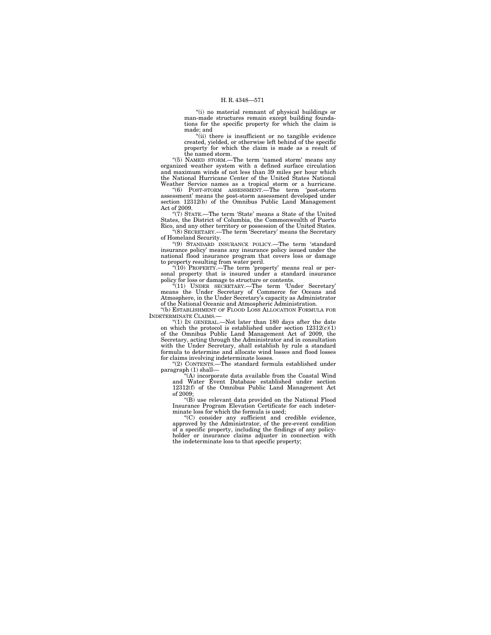''(i) no material remnant of physical buildings or man-made structures remain except building foundations for the specific property for which the claim is made; and

''(ii) there is insufficient or no tangible evidence created, yielded, or otherwise left behind of the specific property for which the claim is made as a result of

the named storm. ''(5) NAMED STORM.—The term 'named storm' means any organized weather system with a defined surface circulation and maximum winds of not less than 39 miles per hour which the National Hurricane Center of the United States National Weather Service names as a tropical storm or a hurricane.

''(6) POST-STORM ASSESSMENT.—The term 'post-storm assessment' means the post-storm assessment developed under section 12312(b) of the Omnibus Public Land Management Act of 2009.

''(7) STATE.—The term 'State' means a State of the United States, the District of Columbia, the Commonwealth of Puerto Rico, and any other territory or possession of the United States.

''(8) SECRETARY.—The term 'Secretary' means the Secretary of Homeland Security.

''(9) STANDARD INSURANCE POLICY.—The term 'standard insurance policy' means any insurance policy issued under the national flood insurance program that covers loss or damage to property resulting from water peril.

''(10) PROPERTY.—The term 'property' means real or per-sonal property that is insured under a standard insurance policy for loss or damage to structure or contents.

''(11) UNDER SECRETARY.—The term 'Under Secretary' means the Under Secretary of Commerce for Oceans and Atmosphere, in the Under Secretary's capacity as Administrator of the National Oceanic and Atmospheric Administration.

'(b) ESTABLISHMENT OF FLOOD LOSS ALLOCATION FORMULA FOR INDETERMINATE CLAIMS.—

''(1) IN GENERAL.—Not later than 180 days after the date on which the protocol is established under section  $12312(c)(1)$ of the Omnibus Public Land Management Act of 2009, the Secretary, acting through the Administrator and in consultation with the Under Secretary, shall establish by rule a standard formula to determine and allocate wind losses and flood losses for claims involving indeterminate losses.

''(2) CONTENTS.—The standard formula established under paragraph (1) shall—

''(A) incorporate data available from the Coastal Wind and Water Event Database established under section 12312(f) of the Omnibus Public Land Management Act of 2009;

''(B) use relevant data provided on the National Flood Insurance Program Elevation Certificate for each indeterminate loss for which the formula is used;

''(C) consider any sufficient and credible evidence, approved by the Administrator, of the pre-event condition of a specific property, including the findings of any policy-holder or insurance claims adjuster in connection with the indeterminate loss to that specific property;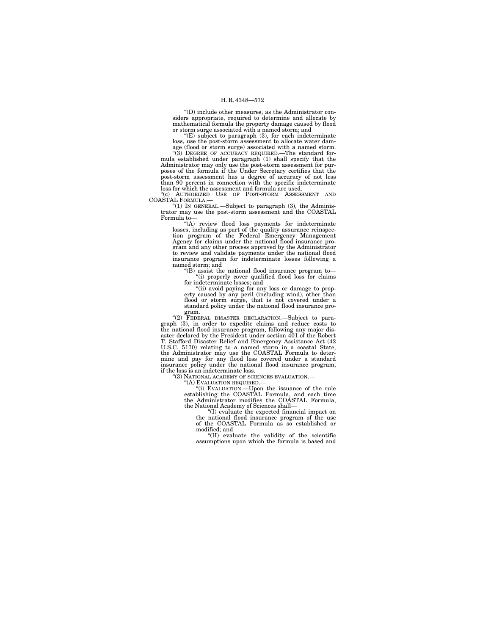''(D) include other measures, as the Administrator considers appropriate, required to determine and allocate by mathematical formula the property damage caused by flood or storm surge associated with a named storm; and

 $E(E)$  subject to paragraph  $(3)$ , for each indeterminate loss, use the post-storm assessment to allocate water dam-

age (flood or storm surge) associated with a named storm.<br>
"(3) DEGREE OF ACCURACY REQUIRED.—The standard for-<br>
mula established under paragraph (1) shall specify that the Administrator may only use the post-storm assessment for pur-poses of the formula if the Under Secretary certifies that the post-storm assessment has a degree of accuracy of not less than 90 percent in connection with the specific indeterminate loss for which the assessment and formula are used.<br>"(c) AUTHORIZED USE OF POST-STORM ASSESSMENT

AUTHORIZED USE OF POST-STORM COASTAL FORMULA.—

''(1) IN GENERAL.—Subject to paragraph (3), the Administrator may use the post-storm assessment and the COASTAL Formula to—

''(A) review flood loss payments for indeterminate losses, including as part of the quality assurance reinspec-tion program of the Federal Emergency Management Agency for claims under the national flood insurance program and any other process approved by the Administrator to review and validate payments under the national flood insurance program for indeterminate losses following a named storm; and

''(B) assist the national flood insurance program to— ''(i) properly cover qualified flood loss for claims for indeterminate losses; and

''(ii) avoid paying for any loss or damage to property caused by any peril (including wind), other than flood or storm surge, that is not covered under a standard policy under the national flood insurance program.

"(2) FEDERAL DISASTER DECLARATION.—Subject to paragraph (3), in order to expedite claims and reduce costs to the national flood insurance program, following any major disaster declared by the President under section 401 of the Robert T. Stafford Disaster Relief and Emergency Assistance Act (42 U.S.C. 5170) relating to a named storm in a coastal State, the Administrator may use the COASTAL Formula to deter-mine and pay for any flood loss covered under a standard insurance policy under the national flood insurance program, if the loss is an indeterminate loss.

''(3) NATIONAL ACADEMY OF SCIENCES EVALUATION.—

''(A) EVALUATION REQUIRED.—

''(i) EVALUATION.—Upon the issuance of the rule establishing the COASTAL Formula, and each time the Administrator modifies the COASTAL Formula, the National Academy of Sciences shall—

''(I) evaluate the expected financial impact on the national flood insurance program of the use of the COASTAL Formula as so established or modified; and

''(II) evaluate the validity of the scientific assumptions upon which the formula is based and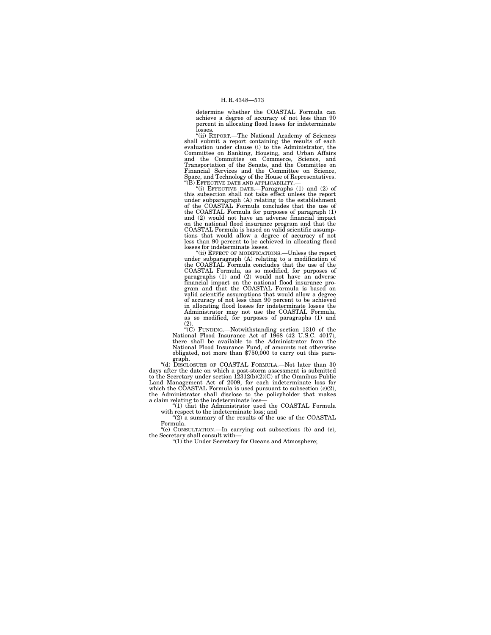determine whether the COASTAL Formula can achieve a degree of accuracy of not less than 90 percent in allocating flood losses for indeterminate losses.

''(ii) REPORT.—The National Academy of Sciences shall submit a report containing the results of each evaluation under clause (i) to the Administrator, the Committee on Banking, Housing, and Urban Affairs and the Committee on Commerce, Science, and Transportation of the Senate, and the Committee on Financial Services and the Committee on Science, Space, and Technology of the House of Representatives. ''(B) EFFECTIVE DATE AND APPLICABILITY.—

''(i) EFFECTIVE DATE.—Paragraphs (1) and (2) of this subsection shall not take effect unless the report under subparagraph (A) relating to the establishment of the COASTAL Formula concludes that the use of the COASTAL Formula for purposes of paragraph (1) and (2) would not have an adverse financial impact on the national flood insurance program and that the COASTAL Formula is based on valid scientific assump-tions that would allow a degree of accuracy of not less than 90 percent to be achieved in allocating flood losses for indeterminate losses.

''(ii) EFFECT OF MODIFICATIONS.—Unless the report under subparagraph (A) relating to a modification of<br>the COASTAL Formula concludes that the use of the<br>COASTAL Formula, as so modified, for purposes of<br>paragraphs (1) and (2) would not have an adverse<br>financial impact on t valid scientific assumptions that would allow a degree of accuracy of not less than 90 percent to be achieved in allocating flood losses for indeterminate losses the Administrator may not use the COASTAL Formula, as so modified, for purposes of paragraphs (1) and

(2).<br>
"(C) FUNDING.—Notwithstanding section 1310 of the<br>
National Flood Insurance Act of 1968 (42 U.S.C. 4017),<br>
there shall be available to the Administrator from the National Flood Insurance Fund, of amounts not otherwise obligated, not more than \$750,000 to carry out this paragraph. ''(d) DISCLOSURE OF COASTAL FORMULA.—Not later than 30

days after the date on which a post-storm assessment is submitted to the Secretary under section 12312(b)(2)(C) of the Omnibus Public Land Management Act of 2009, for each indeterminate loss for which the COASTAL Formula is used pursuant to subsection (c)(2), the Administrator shall disclose to the policyholder that makes a claim relating to the indeterminate loss—

''(1) that the Administrator used the COASTAL Formula with respect to the indeterminate loss; and

''(2) a summary of the results of the use of the COASTAL Formula.

''(e) CONSULTATION.—In carrying out subsections (b) and (c), the Secretary shall consult with—<br>"(1) the Under Secretary for Oceans and Atmosphere;